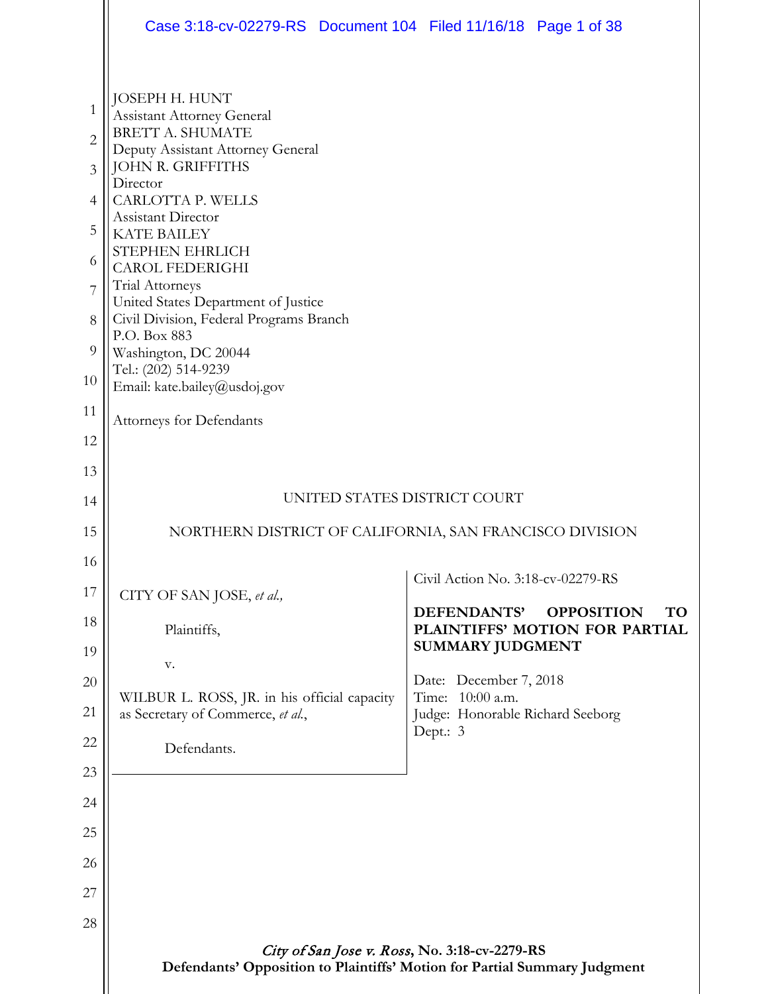|                                                                             | Case 3:18-cv-02279-RS  Document 104  Filed 11/16/18  Page 1 of 38                                                                                                                                                                                                                                                                                                                       |                                                                                |
|-----------------------------------------------------------------------------|-----------------------------------------------------------------------------------------------------------------------------------------------------------------------------------------------------------------------------------------------------------------------------------------------------------------------------------------------------------------------------------------|--------------------------------------------------------------------------------|
| 1<br>$\overline{2}$<br>$\overline{3}$<br>$\overline{4}$<br>5<br>6<br>7<br>8 | JOSEPH H. HUNT<br><b>Assistant Attorney General</b><br><b>BRETT A. SHUMATE</b><br>Deputy Assistant Attorney General<br>JOHN R. GRIFFITHS<br>Director<br>CARLOTTA P. WELLS<br>Assistant Director<br><b>KATE BAILEY</b><br>STEPHEN EHRLICH<br><b>CAROL FEDERIGHI</b><br>Trial Attorneys<br>United States Department of Justice<br>Civil Division, Federal Programs Branch<br>P.O. Box 883 |                                                                                |
| 9<br>10                                                                     | Washington, DC 20044<br>Tel.: (202) 514-9239<br>Email: kate.bailey@usdoj.gov                                                                                                                                                                                                                                                                                                            |                                                                                |
| 11                                                                          | Attorneys for Defendants                                                                                                                                                                                                                                                                                                                                                                |                                                                                |
| 12                                                                          |                                                                                                                                                                                                                                                                                                                                                                                         |                                                                                |
| 13                                                                          |                                                                                                                                                                                                                                                                                                                                                                                         |                                                                                |
| 14                                                                          | UNITED STATES DISTRICT COURT                                                                                                                                                                                                                                                                                                                                                            |                                                                                |
| 15                                                                          | NORTHERN DISTRICT OF CALIFORNIA, SAN FRANCISCO DIVISION                                                                                                                                                                                                                                                                                                                                 |                                                                                |
| 16                                                                          |                                                                                                                                                                                                                                                                                                                                                                                         | Civil Action No. 3:18-cv-02279-RS                                              |
| 17                                                                          | CITY OF SAN JOSE, et al.,                                                                                                                                                                                                                                                                                                                                                               | DEFENDANTS'<br><b>OPPOSITION</b><br><b>TO</b>                                  |
| 18                                                                          | Plaintiffs,                                                                                                                                                                                                                                                                                                                                                                             | PLAINTIFFS' MOTION FOR PARTIAL<br><b>SUMMARY JUDGMENT</b>                      |
| 19                                                                          | V.                                                                                                                                                                                                                                                                                                                                                                                      |                                                                                |
| 20<br>21                                                                    | WILBUR L. ROSS, JR. in his official capacity<br>as Secretary of Commerce, et al.,                                                                                                                                                                                                                                                                                                       | Date: December 7, 2018<br>Time: 10:00 a.m.<br>Judge: Honorable Richard Seeborg |
| 22                                                                          | Defendants.                                                                                                                                                                                                                                                                                                                                                                             | Dept.: 3                                                                       |
| 23                                                                          |                                                                                                                                                                                                                                                                                                                                                                                         |                                                                                |
| 24                                                                          |                                                                                                                                                                                                                                                                                                                                                                                         |                                                                                |
| 25                                                                          |                                                                                                                                                                                                                                                                                                                                                                                         |                                                                                |
| 26                                                                          |                                                                                                                                                                                                                                                                                                                                                                                         |                                                                                |
| 27                                                                          |                                                                                                                                                                                                                                                                                                                                                                                         |                                                                                |
| 28                                                                          |                                                                                                                                                                                                                                                                                                                                                                                         |                                                                                |
|                                                                             | City of San Jose v. Ross, No. 3:18-cv-2279-RS<br>Defendants' Opposition to Plaintiffs' Motion for Partial Summary Judgment                                                                                                                                                                                                                                                              |                                                                                |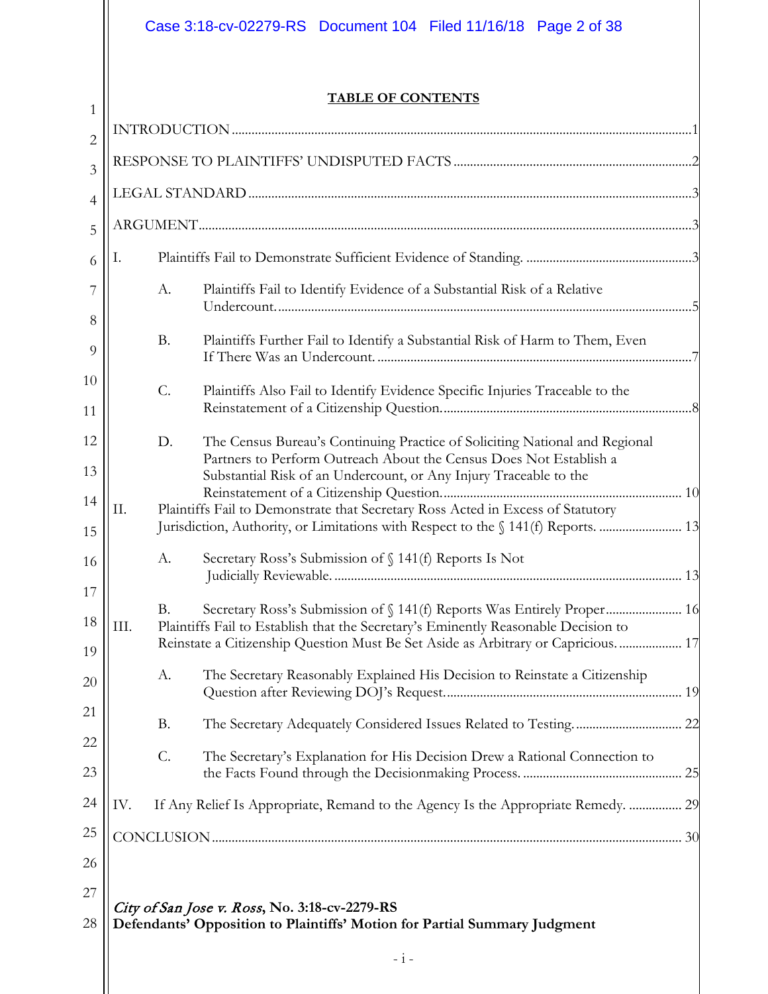# Case 3:18-cv-02279-RS Document 104 Filed 11/16/18 Page 2 of 38

 $1$ 

# **TABLE OF CONTENTS**

| $\overline{2}$ |                                                                                 |                 |                                                                                                                                                                        |
|----------------|---------------------------------------------------------------------------------|-----------------|------------------------------------------------------------------------------------------------------------------------------------------------------------------------|
| $\overline{3}$ |                                                                                 |                 |                                                                                                                                                                        |
| $\overline{4}$ |                                                                                 |                 |                                                                                                                                                                        |
| 5              |                                                                                 |                 |                                                                                                                                                                        |
| 6              | Ι.                                                                              |                 |                                                                                                                                                                        |
| 7              |                                                                                 | А.              | Plaintiffs Fail to Identify Evidence of a Substantial Risk of a Relative                                                                                               |
| 8              |                                                                                 |                 |                                                                                                                                                                        |
| 9              |                                                                                 | <b>B.</b>       | Plaintiffs Further Fail to Identify a Substantial Risk of Harm to Them, Even                                                                                           |
| 10<br>11       |                                                                                 | $\mathcal{C}$ . | Plaintiffs Also Fail to Identify Evidence Specific Injuries Traceable to the                                                                                           |
| 12             |                                                                                 | D.              | The Census Bureau's Continuing Practice of Soliciting National and Regional                                                                                            |
| 13             |                                                                                 |                 | Partners to Perform Outreach About the Census Does Not Establish a<br>Substantial Risk of an Undercount, or Any Injury Traceable to the                                |
| 14             | Π.                                                                              |                 |                                                                                                                                                                        |
| 15             | Plaintiffs Fail to Demonstrate that Secretary Ross Acted in Excess of Statutory |                 |                                                                                                                                                                        |
| 16             |                                                                                 | А.              | Secretary Ross's Submission of § 141(f) Reports Is Not                                                                                                                 |
| 17             |                                                                                 | <b>B.</b>       |                                                                                                                                                                        |
| 18             | III.                                                                            |                 | Plaintiffs Fail to Establish that the Secretary's Eminently Reasonable Decision to<br>Reinstate a Citizenship Question Must Be Set Aside as Arbitrary or Capricious 17 |
| 19<br>20       |                                                                                 | А.              | The Secretary Reasonably Explained His Decision to Reinstate a Citizenship                                                                                             |
| 21             |                                                                                 |                 |                                                                                                                                                                        |
| 22             |                                                                                 | <b>B.</b>       |                                                                                                                                                                        |
| 23             |                                                                                 | $\mathcal{C}$ . | The Secretary's Explanation for His Decision Drew a Rational Connection to                                                                                             |
| 24             | IV.                                                                             |                 | If Any Relief Is Appropriate, Remand to the Agency Is the Appropriate Remedy.  29                                                                                      |
| 25             |                                                                                 |                 |                                                                                                                                                                        |
| 26             |                                                                                 |                 |                                                                                                                                                                        |
| 27             |                                                                                 |                 |                                                                                                                                                                        |
| 28             |                                                                                 |                 | City of San Jose v. Ross, No. 3:18-cv-2279-RS<br>Defendants' Opposition to Plaintiffs' Motion for Partial Summary Judgment                                             |
|                |                                                                                 |                 | $-1$ -                                                                                                                                                                 |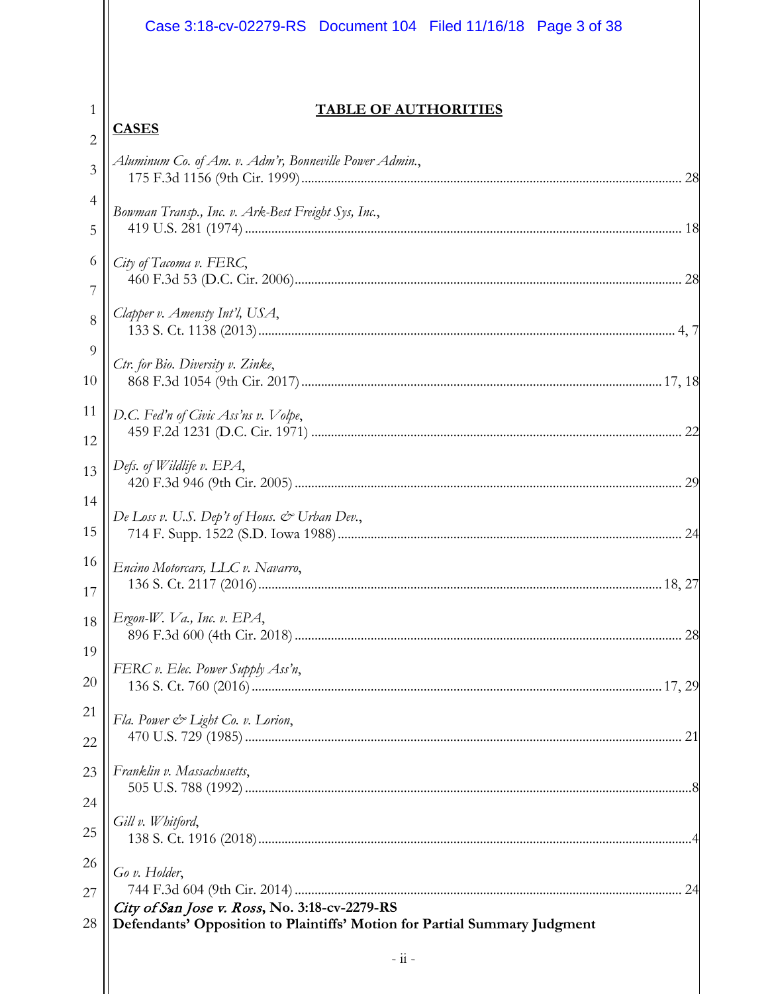|                     | Case 3:18-cv-02279-RS  Document 104  Filed 11/16/18  Page 3 of 38                                                          |
|---------------------|----------------------------------------------------------------------------------------------------------------------------|
|                     |                                                                                                                            |
| 1                   | <b>TABLE OF AUTHORITIES</b><br><b>CASES</b>                                                                                |
| $\overline{2}$      | Aluminum Co. of Am. v. Adm'r, Bonneville Power Admin.,                                                                     |
| 3                   |                                                                                                                            |
| $\overline{4}$<br>5 | Bowman Transp., Inc. v. Ark-Best Freight Sys, Inc.,                                                                        |
| 6                   | City of Tacoma v. FERC,                                                                                                    |
| 7<br>8              | Clapper v. Amensty Int'l, USA,                                                                                             |
| 9                   |                                                                                                                            |
| 10                  | Ctr. for Bio. Diversity v. Zinke,                                                                                          |
| 11                  | D.C. Fed'n of Civic Ass'ns v. Volpe,                                                                                       |
| 12                  |                                                                                                                            |
| 13                  | Defs. of Wildlife v. EPA,                                                                                                  |
| 14                  | De Loss v. U.S. Dep't of Hous. & Urban Dev.,                                                                               |
| 15                  |                                                                                                                            |
| 16<br>17            | Encino Motorcars, LLC v. Navarro,                                                                                          |
| 18                  | Ergon-W. Va., Inc. v. EPA,                                                                                                 |
| 19                  |                                                                                                                            |
| 20                  | FERC v. Elec. Power Supply Ass'n,                                                                                          |
| 21                  | Fla. Power & Light Co. v. Lorion,                                                                                          |
| 22                  |                                                                                                                            |
| 23                  | Franklin v. Massachusetts,                                                                                                 |
| 24                  |                                                                                                                            |
| 25                  | Gill v. Whitford,                                                                                                          |
| 26                  | Go v. Holder,                                                                                                              |
| 27                  |                                                                                                                            |
| 28                  | City of San Jose v. Ross, No. 3:18-cv-2279-RS<br>Defendants' Opposition to Plaintiffs' Motion for Partial Summary Judgment |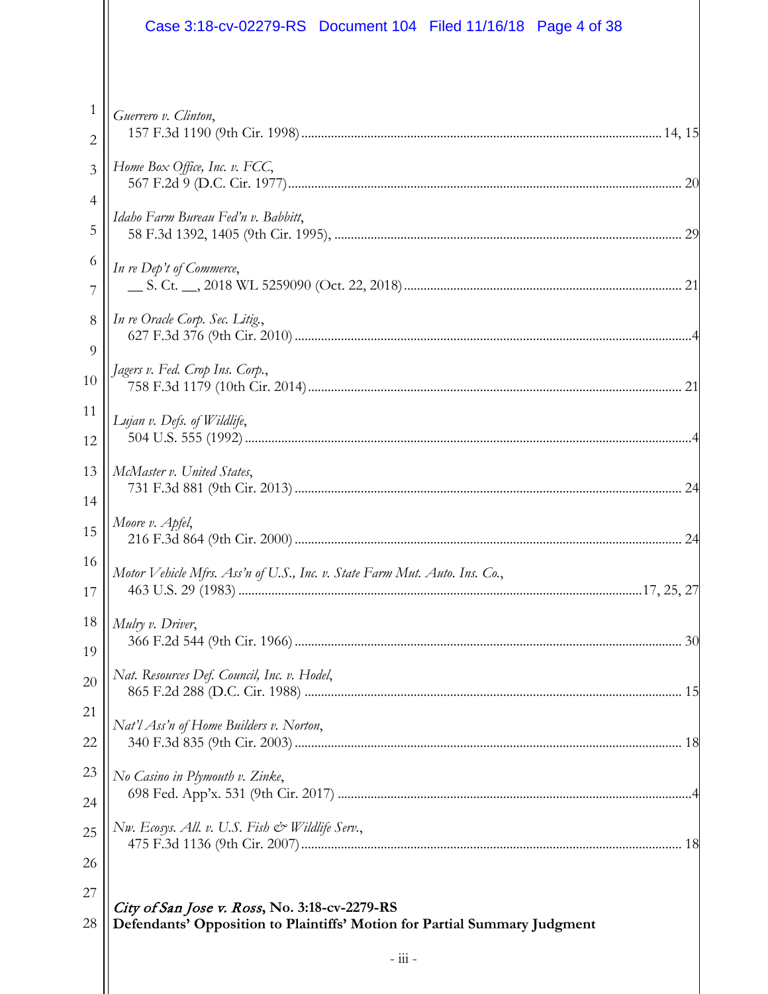|                | Case 3:18-cv-02279-RS Document 104 Filed 11/16/18 Page 4 of 38             |
|----------------|----------------------------------------------------------------------------|
|                |                                                                            |
| 1              | Guerrero v. Clinton,                                                       |
| 2              |                                                                            |
| $\overline{3}$ | Home Box Office, Inc. v. FCC,                                              |
| 4              | Idaho Farm Bureau Fed'n v. Babbitt,                                        |
| 5              |                                                                            |
| 6              | In re Dep't of Commerce,                                                   |
| 7              |                                                                            |
| 8              | In re Oracle Corp. Sec. Litig.,                                            |
| 9              |                                                                            |
| 10             | Jagers v. Fed. Crop Ins. Corp.,                                            |
| 11             | Lujan v. Defs. of Wildlife,                                                |
| 12             |                                                                            |
| 13             | McMaster v. United States,                                                 |
| 14             |                                                                            |
| 15             | Moore v. Apfel,                                                            |
| 16             | Motor Vehicle Mfrs. Ass'n of U.S., Inc. v. State Farm Mut. Auto. Ins. Co., |
| 17             |                                                                            |
| 18             | Mulry v. Driver,                                                           |
| 19             |                                                                            |
| 20             | Nat. Resources Def. Council, Inc. v. Hodel,                                |
| 21             | Nat'l Ass'n of Home Builders v. Norton,                                    |
| 22             |                                                                            |
| 23             | No Casino in Plymouth v. Zinke,                                            |
| 24             |                                                                            |
| 25             | Nw. Ecosys. All. v. U.S. Fish & Wildlife Serv.,                            |
| 26             |                                                                            |
| 27             | City of San Jose v. Ross, No. 3:18-cv-2279-RS                              |
| 28             | Defendants' Opposition to Plaintiffs' Motion for Partial Summary Judgment  |
|                | $ \overline{111}$ $-$                                                      |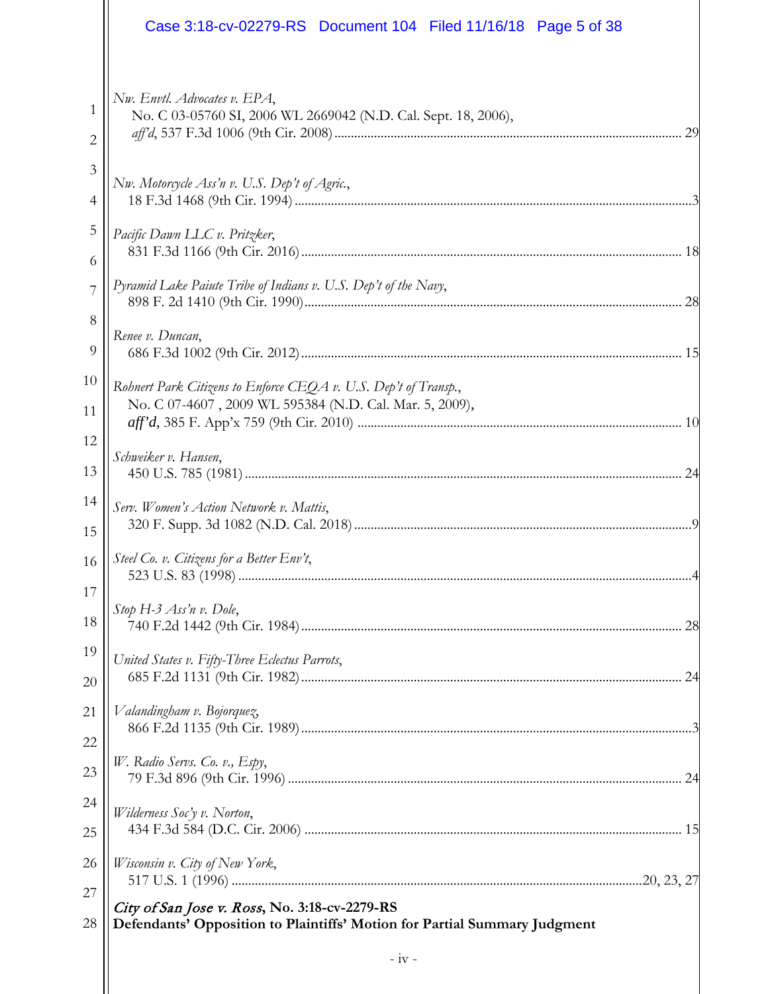|                     | Case 3:18-cv-02279-RS  Document 104  Filed 11/16/18  Page 5 of 38                                                          |
|---------------------|----------------------------------------------------------------------------------------------------------------------------|
| 1<br>$\overline{2}$ | Nw. Envtl. Advocates v. EPA,<br>No. C 03-05760 SI, 2006 WL 2669042 (N.D. Cal. Sept. 18, 2006),                             |
| 3                   | Nw. Motorcycle Ass'n v. U.S. Dep't of Agric.,                                                                              |
| 4                   |                                                                                                                            |
| 5                   | Pacific Dawn LLC v. Pritzker,                                                                                              |
| 6                   |                                                                                                                            |
| 7                   | Pyramid Lake Paiute Tribe of Indians v. U.S. Dep't of the Navy,                                                            |
| 8                   |                                                                                                                            |
| 9                   | Renee v. Duncan,                                                                                                           |
| 10<br>11            | Rohnert Park Citizens to Enforce CEQA v. U.S. Dep't of Transp.,<br>No. C 07-4607, 2009 WL 595384 (N.D. Cal. Mar. 5, 2009), |
| 12                  | Schweiker v. Hansen,                                                                                                       |
| 13                  |                                                                                                                            |
| 14                  | Serv. Women's Action Network v. Mattis,                                                                                    |
| 15                  |                                                                                                                            |
| 16                  | Steel Co. v. Citizens for a Better Env't,                                                                                  |
| 17                  |                                                                                                                            |
| 18                  | Stop H-3 Ass'n v. Dole,                                                                                                    |
| 19                  | United States v. Fifty-Three Eclectus Parrots,                                                                             |
| 20                  |                                                                                                                            |
| 21                  | Valandingham v. Bojorquez,                                                                                                 |
| 22                  |                                                                                                                            |
| 23                  | W. Radio Servs. Co. v., Espy,                                                                                              |
| 24                  | Wilderness Soc'y v. Norton,                                                                                                |
| 25                  |                                                                                                                            |
| 26                  | Wisconsin v. City of New York,                                                                                             |
| 27                  |                                                                                                                            |
| 28                  | City of San Jose v. Ross, No. 3:18-cv-2279-RS<br>Defendants' Opposition to Plaintiffs' Motion for Partial Summary Judgment |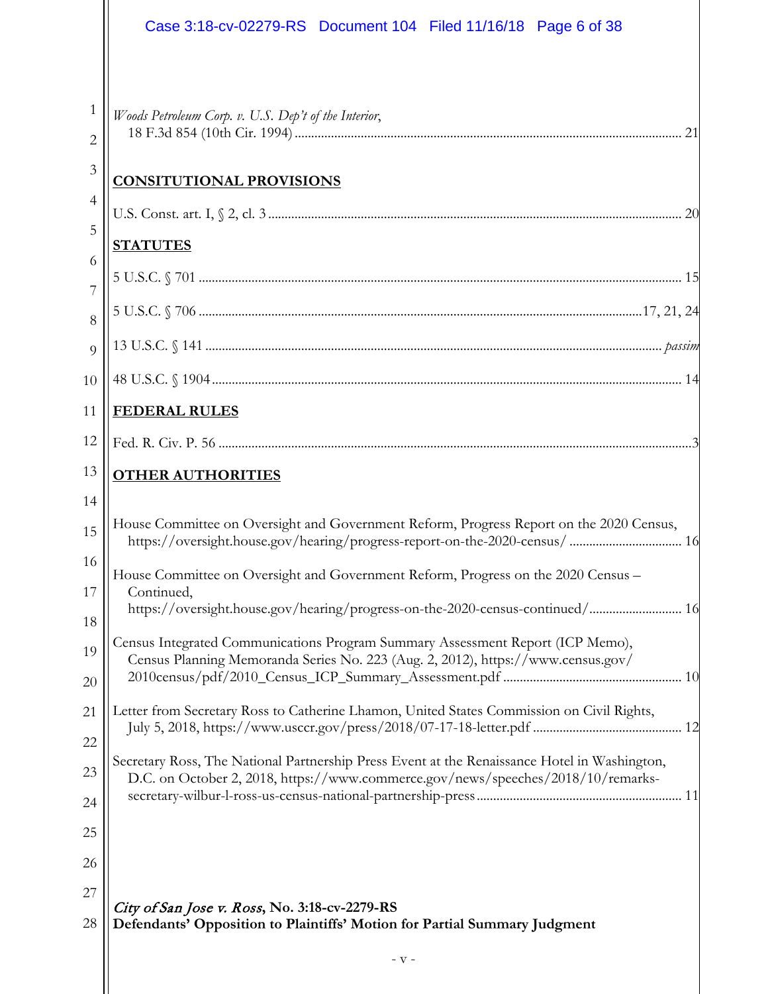|                     | Case 3:18-cv-02279-RS  Document 104  Filed 11/16/18  Page 6 of 38                                                                                                                |
|---------------------|----------------------------------------------------------------------------------------------------------------------------------------------------------------------------------|
|                     |                                                                                                                                                                                  |
| 1                   | Woods Petroleum Corp. v. U.S. Dep't of the Interior,                                                                                                                             |
| 2                   |                                                                                                                                                                                  |
| 3                   | <b>CONSITUTIONAL PROVISIONS</b>                                                                                                                                                  |
| $\overline{4}$<br>5 |                                                                                                                                                                                  |
| 6                   | <b>STATUTES</b>                                                                                                                                                                  |
| $\overline{7}$      |                                                                                                                                                                                  |
| 8                   |                                                                                                                                                                                  |
| $\overline{Q}$      |                                                                                                                                                                                  |
| 10                  |                                                                                                                                                                                  |
| 11                  | <b>FEDERAL RULES</b>                                                                                                                                                             |
| 12                  |                                                                                                                                                                                  |
| 13                  | <b>OTHER AUTHORITIES</b>                                                                                                                                                         |
| 14                  |                                                                                                                                                                                  |
| 15                  | House Committee on Oversight and Government Reform, Progress Report on the 2020 Census,<br>https://oversight.house.gov/hearing/progress-report-on-the-2020-census/ 16            |
| 16                  | House Committee on Oversight and Government Reform, Progress on the 2020 Census -                                                                                                |
| 17<br>18            | Continued,<br>https://oversight.house.gov/hearing/progress-on-the-2020-census-continued/ 16                                                                                      |
| 19                  | Census Integrated Communications Program Summary Assessment Report (ICP Memo),                                                                                                   |
| 20                  | Census Planning Memoranda Series No. 223 (Aug. 2, 2012), https://www.census.gov/                                                                                                 |
| 21                  | Letter from Secretary Ross to Catherine Lhamon, United States Commission on Civil Rights,                                                                                        |
| 22                  |                                                                                                                                                                                  |
| 23                  | Secretary Ross, The National Partnership Press Event at the Renaissance Hotel in Washington,<br>D.C. on October 2, 2018, https://www.commerce.gov/news/speeches/2018/10/remarks- |
| 24                  |                                                                                                                                                                                  |
| 25                  |                                                                                                                                                                                  |
| 26                  |                                                                                                                                                                                  |
| 27                  | City of San Jose v. Ross, No. 3:18-cv-2279-RS                                                                                                                                    |
| 28                  | Defendants' Opposition to Plaintiffs' Motion for Partial Summary Judgment                                                                                                        |
|                     | $-$ V $-$                                                                                                                                                                        |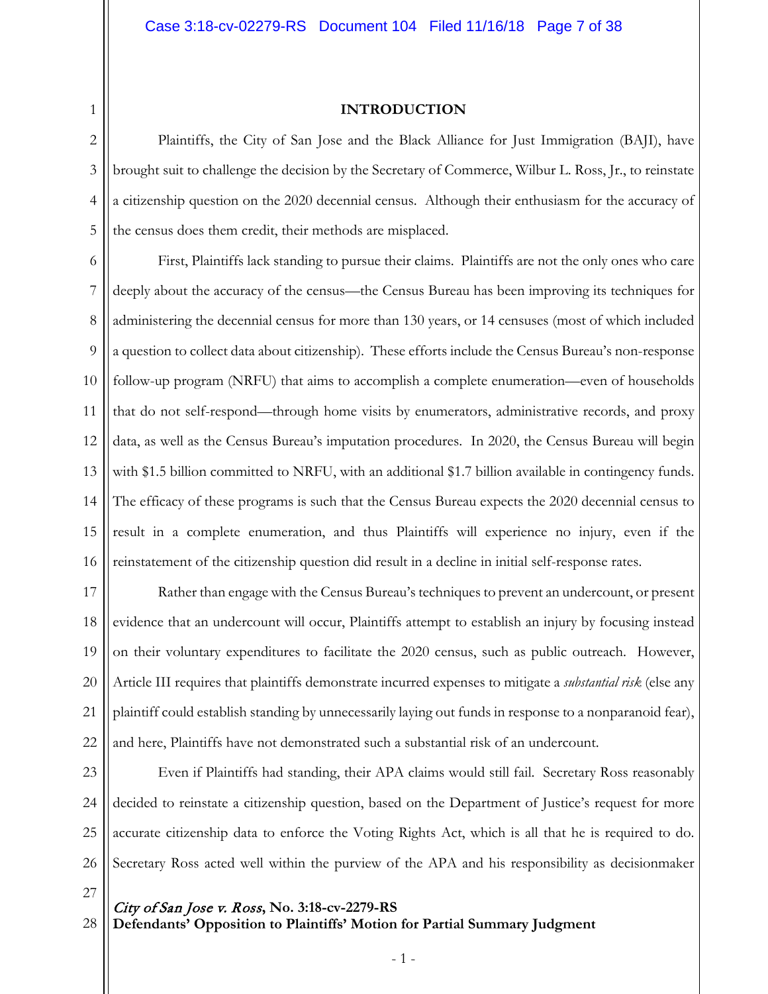1

#### **INTRODUCTION**

2 3 4 5 Plaintiffs, the City of San Jose and the Black Alliance for Just Immigration (BAJI), have brought suit to challenge the decision by the Secretary of Commerce, Wilbur L. Ross, Jr., to reinstate a citizenship question on the 2020 decennial census. Although their enthusiasm for the accuracy of the census does them credit, their methods are misplaced.

6 7 8 9 10 11 12 13 14 15 16 First, Plaintiffs lack standing to pursue their claims. Plaintiffs are not the only ones who care deeply about the accuracy of the census—the Census Bureau has been improving its techniques for administering the decennial census for more than 130 years, or 14 censuses (most of which included a question to collect data about citizenship). These efforts include the Census Bureau's non-response follow-up program (NRFU) that aims to accomplish a complete enumeration—even of households that do not self-respond—through home visits by enumerators, administrative records, and proxy data, as well as the Census Bureau's imputation procedures. In 2020, the Census Bureau will begin with \$1.5 billion committed to NRFU, with an additional \$1.7 billion available in contingency funds. The efficacy of these programs is such that the Census Bureau expects the 2020 decennial census to result in a complete enumeration, and thus Plaintiffs will experience no injury, even if the reinstatement of the citizenship question did result in a decline in initial self-response rates.

17 18 19 20 21 22 Rather than engage with the Census Bureau's techniques to prevent an undercount, or present evidence that an undercount will occur, Plaintiffs attempt to establish an injury by focusing instead on their voluntary expenditures to facilitate the 2020 census, such as public outreach. However, Article III requires that plaintiffs demonstrate incurred expenses to mitigate a *substantial risk* (else any plaintiff could establish standing by unnecessarily laying out funds in response to a nonparanoid fear), and here, Plaintiffs have not demonstrated such a substantial risk of an undercount.

23 24 25 26 Even if Plaintiffs had standing, their APA claims would still fail. Secretary Ross reasonably decided to reinstate a citizenship question, based on the Department of Justice's request for more accurate citizenship data to enforce the Voting Rights Act, which is all that he is required to do. Secretary Ross acted well within the purview of the APA and his responsibility as decisionmaker

27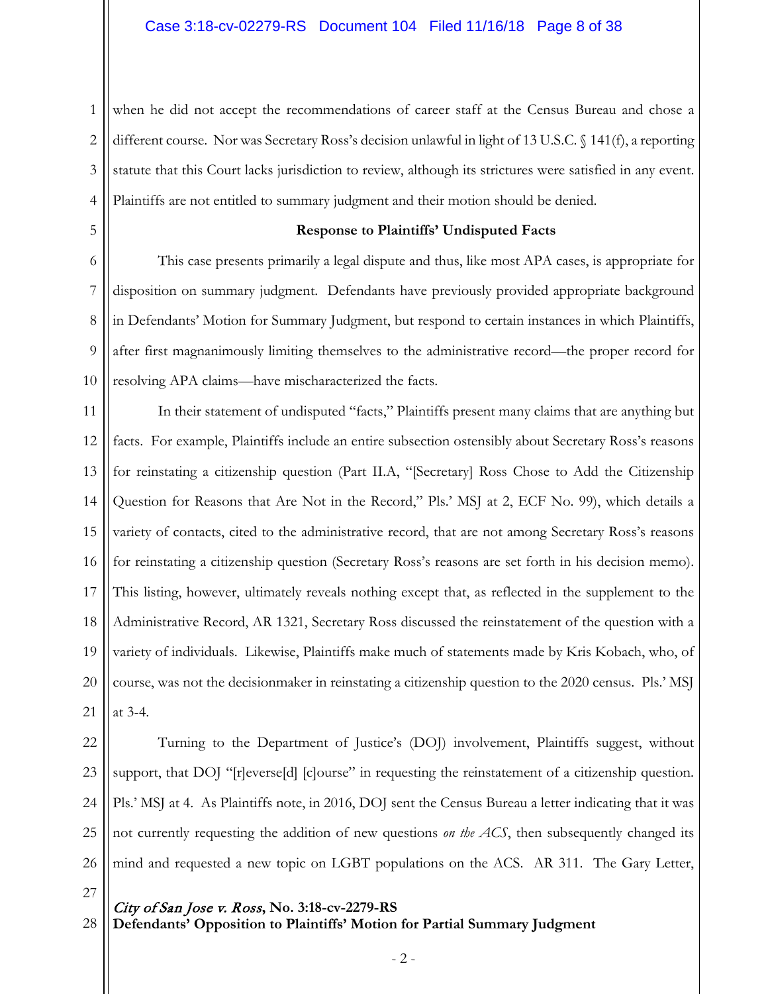1 2 3 4 when he did not accept the recommendations of career staff at the Census Bureau and chose a different course. Nor was Secretary Ross's decision unlawful in light of 13 U.S.C. § 141(f), a reporting statute that this Court lacks jurisdiction to review, although its strictures were satisfied in any event. Plaintiffs are not entitled to summary judgment and their motion should be denied.

5

#### **Response to Plaintiffs' Undisputed Facts**

6 7 8 9 10 This case presents primarily a legal dispute and thus, like most APA cases, is appropriate for disposition on summary judgment. Defendants have previously provided appropriate background in Defendants' Motion for Summary Judgment, but respond to certain instances in which Plaintiffs, after first magnanimously limiting themselves to the administrative record—the proper record for resolving APA claims—have mischaracterized the facts.

11 12 13 14 15 16 17 18 19 20 21 In their statement of undisputed "facts," Plaintiffs present many claims that are anything but facts. For example, Plaintiffs include an entire subsection ostensibly about Secretary Ross's reasons for reinstating a citizenship question (Part II.A, "[Secretary] Ross Chose to Add the Citizenship Question for Reasons that Are Not in the Record," Pls.' MSJ at 2, ECF No. 99), which details a variety of contacts, cited to the administrative record, that are not among Secretary Ross's reasons for reinstating a citizenship question (Secretary Ross's reasons are set forth in his decision memo). This listing, however, ultimately reveals nothing except that, as reflected in the supplement to the Administrative Record, AR 1321, Secretary Ross discussed the reinstatement of the question with a variety of individuals. Likewise, Plaintiffs make much of statements made by Kris Kobach, who, of course, was not the decisionmaker in reinstating a citizenship question to the 2020 census. Pls.' MSJ at 3-4.

22 23 24 25 26 Turning to the Department of Justice's (DOJ) involvement, Plaintiffs suggest, without support, that DOJ "[r]everse[d] [c]ourse" in requesting the reinstatement of a citizenship question. Pls.' MSJ at 4. As Plaintiffs note, in 2016, DOJ sent the Census Bureau a letter indicating that it was not currently requesting the addition of new questions *on the ACS*, then subsequently changed its mind and requested a new topic on LGBT populations on the ACS. AR 311. The Gary Letter,

27

28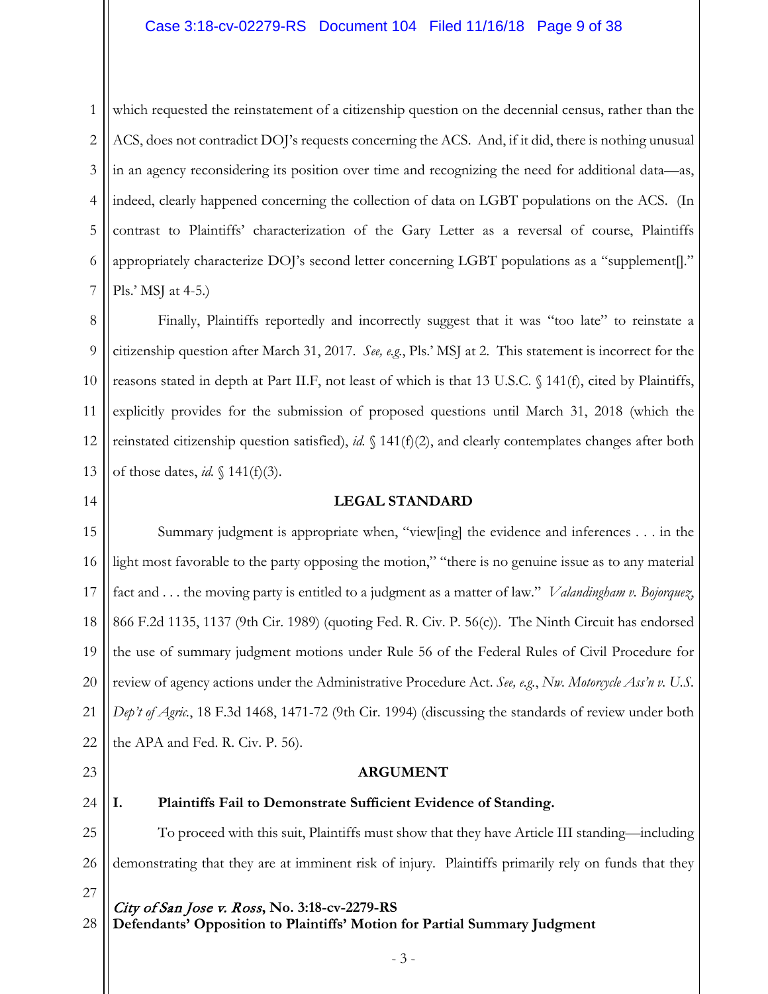# Case 3:18-cv-02279-RS Document 104 Filed 11/16/18 Page 9 of 38

1 2 3 4 5 6 7 which requested the reinstatement of a citizenship question on the decennial census, rather than the ACS, does not contradict DOJ's requests concerning the ACS. And, if it did, there is nothing unusual in an agency reconsidering its position over time and recognizing the need for additional data—as, indeed, clearly happened concerning the collection of data on LGBT populations on the ACS. (In contrast to Plaintiffs' characterization of the Gary Letter as a reversal of course, Plaintiffs appropriately characterize DOJ's second letter concerning LGBT populations as a "supplement[]." Pls.' MSJ at 4-5.)

8 9 10 11 12 13 Finally, Plaintiffs reportedly and incorrectly suggest that it was "too late" to reinstate a citizenship question after March 31, 2017. *See, e.g.*, Pls.' MSJ at 2. This statement is incorrect for the reasons stated in depth at Part II.F, not least of which is that 13 U.S.C. § 141(f), cited by Plaintiffs, explicitly provides for the submission of proposed questions until March 31, 2018 (which the reinstated citizenship question satisfied), *id.* § 141(f)(2), and clearly contemplates changes after both of those dates, *id.* § 141(f)(3).

### 14

#### **LEGAL STANDARD**

15 16 17 18 19 20 21 22 Summary judgment is appropriate when, "view[ing] the evidence and inferences . . . in the light most favorable to the party opposing the motion," "there is no genuine issue as to any material fact and . . . the moving party is entitled to a judgment as a matter of law." *Valandingham v. Bojorquez*, 866 F.2d 1135, 1137 (9th Cir. 1989) (quoting Fed. R. Civ. P. 56(c)). The Ninth Circuit has endorsed the use of summary judgment motions under Rule 56 of the Federal Rules of Civil Procedure for review of agency actions under the Administrative Procedure Act. *See, e.g.*, *Nw. Motorcycle Ass'n v. U.S. Dep't of Agric.*, 18 F.3d 1468, 1471-72 (9th Cir. 1994) (discussing the standards of review under both the APA and Fed. R. Civ. P. 56).

23

27

28

### **ARGUMENT**

# 24

# **I. Plaintiffs Fail to Demonstrate Sufficient Evidence of Standing.**

25 26 To proceed with this suit, Plaintiffs must show that they have Article III standing—including demonstrating that they are at imminent risk of injury. Plaintiffs primarily rely on funds that they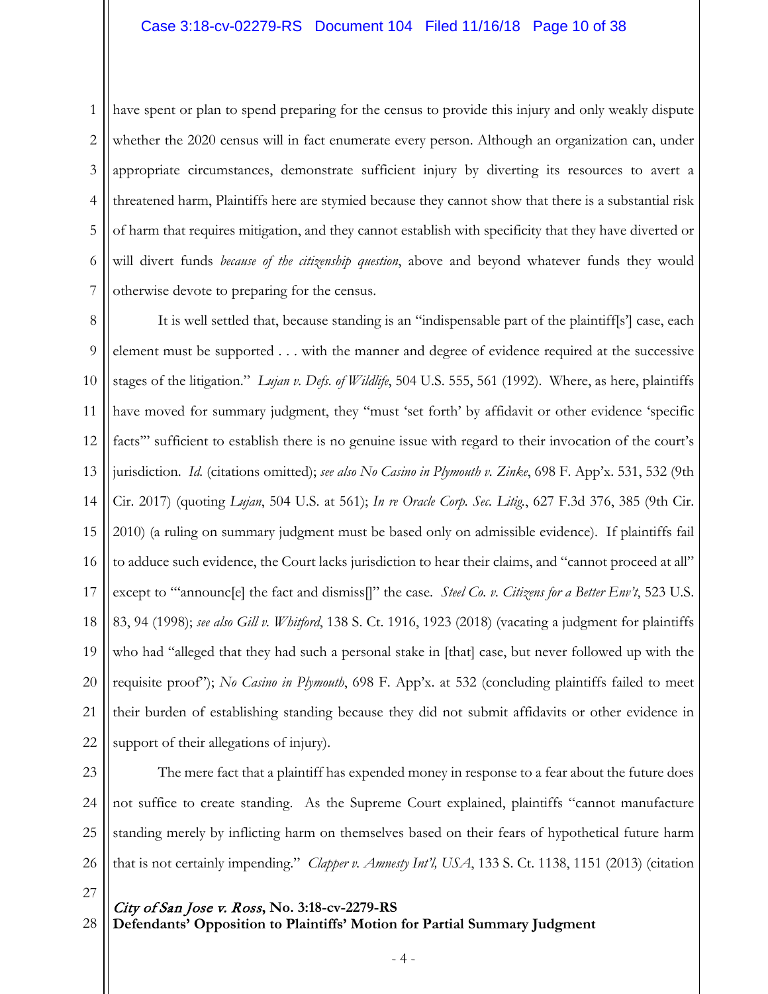1 2 3 4 5 6 7 have spent or plan to spend preparing for the census to provide this injury and only weakly dispute whether the 2020 census will in fact enumerate every person. Although an organization can, under appropriate circumstances, demonstrate sufficient injury by diverting its resources to avert a threatened harm, Plaintiffs here are stymied because they cannot show that there is a substantial risk of harm that requires mitigation, and they cannot establish with specificity that they have diverted or will divert funds *because of the citizenship question*, above and beyond whatever funds they would otherwise devote to preparing for the census.

8 9 10 11 12 13 14 15 16 17 18 19 20 21 22 It is well settled that, because standing is an "indispensable part of the plaintiff[s'] case, each element must be supported . . . with the manner and degree of evidence required at the successive stages of the litigation." *Lujan v. Defs. of Wildlife*, 504 U.S. 555, 561 (1992). Where, as here, plaintiffs have moved for summary judgment, they "must 'set forth' by affidavit or other evidence 'specific facts" sufficient to establish there is no genuine issue with regard to their invocation of the court's jurisdiction. *Id.* (citations omitted); *see also No Casino in Plymouth v. Zinke*, 698 F. App'x. 531, 532 (9th Cir. 2017) (quoting *Lujan*, 504 U.S. at 561); *In re Oracle Corp. Sec. Litig.*, 627 F.3d 376, 385 (9th Cir. 2010) (a ruling on summary judgment must be based only on admissible evidence). If plaintiffs fail to adduce such evidence, the Court lacks jurisdiction to hear their claims, and "cannot proceed at all" except to "'announc[e] the fact and dismiss[]" the case. *Steel Co. v. Citizens for a Better Env't*, 523 U.S. 83, 94 (1998); *see also Gill v. Whitford*, 138 S. Ct. 1916, 1923 (2018) (vacating a judgment for plaintiffs who had "alleged that they had such a personal stake in [that] case, but never followed up with the requisite proof"); *No Casino in Plymouth*, 698 F. App'x. at 532 (concluding plaintiffs failed to meet their burden of establishing standing because they did not submit affidavits or other evidence in support of their allegations of injury).

23

24 25 26 The mere fact that a plaintiff has expended money in response to a fear about the future does not suffice to create standing. As the Supreme Court explained, plaintiffs "cannot manufacture standing merely by inflicting harm on themselves based on their fears of hypothetical future harm that is not certainly impending." *Clapper v. Amnesty Int'l, USA*, 133 S. Ct. 1138, 1151 (2013) (citation

27

28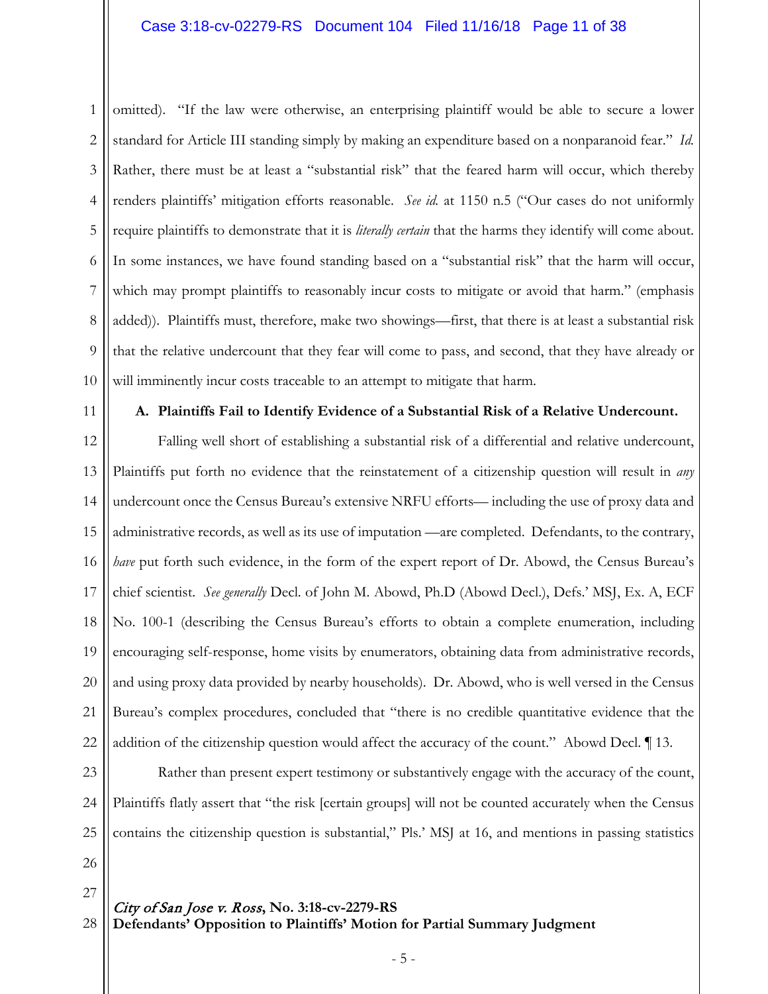### Case 3:18-cv-02279-RS Document 104 Filed 11/16/18 Page 11 of 38

1 2 3 4 5 6 7 8 9 10 omitted). "If the law were otherwise, an enterprising plaintiff would be able to secure a lower standard for Article III standing simply by making an expenditure based on a nonparanoid fear." *Id.* Rather, there must be at least a "substantial risk" that the feared harm will occur, which thereby renders plaintiffs' mitigation efforts reasonable. *See id.* at 1150 n.5 ("Our cases do not uniformly require plaintiffs to demonstrate that it is *literally certain* that the harms they identify will come about. In some instances, we have found standing based on a "substantial risk" that the harm will occur, which may prompt plaintiffs to reasonably incur costs to mitigate or avoid that harm." (emphasis added)). Plaintiffs must, therefore, make two showings—first, that there is at least a substantial risk that the relative undercount that they fear will come to pass, and second, that they have already or will imminently incur costs traceable to an attempt to mitigate that harm.

11

#### **A. Plaintiffs Fail to Identify Evidence of a Substantial Risk of a Relative Undercount.**

12 13 14 15 16 17 18 19 20 21 22 Falling well short of establishing a substantial risk of a differential and relative undercount, Plaintiffs put forth no evidence that the reinstatement of a citizenship question will result in *any* undercount once the Census Bureau's extensive NRFU efforts— including the use of proxy data and administrative records, as well as its use of imputation —are completed. Defendants, to the contrary, *have* put forth such evidence, in the form of the expert report of Dr. Abowd, the Census Bureau's chief scientist. *See generally* Decl. of John M. Abowd, Ph.D (Abowd Decl.), Defs.' MSJ, Ex. A, ECF No. 100-1 (describing the Census Bureau's efforts to obtain a complete enumeration, including encouraging self-response, home visits by enumerators, obtaining data from administrative records, and using proxy data provided by nearby households). Dr. Abowd, who is well versed in the Census Bureau's complex procedures, concluded that "there is no credible quantitative evidence that the addition of the citizenship question would affect the accuracy of the count." Abowd Decl. ¶ 13.

23 24

25

26 27

#### City of San Jose v. Ross**, No. 3:18-cv-2279-RS Defendants' Opposition to Plaintiffs' Motion for Partial Summary Judgment** 28

Rather than present expert testimony or substantively engage with the accuracy of the count,

Plaintiffs flatly assert that "the risk [certain groups] will not be counted accurately when the Census

contains the citizenship question is substantial," Pls.' MSJ at 16, and mentions in passing statistics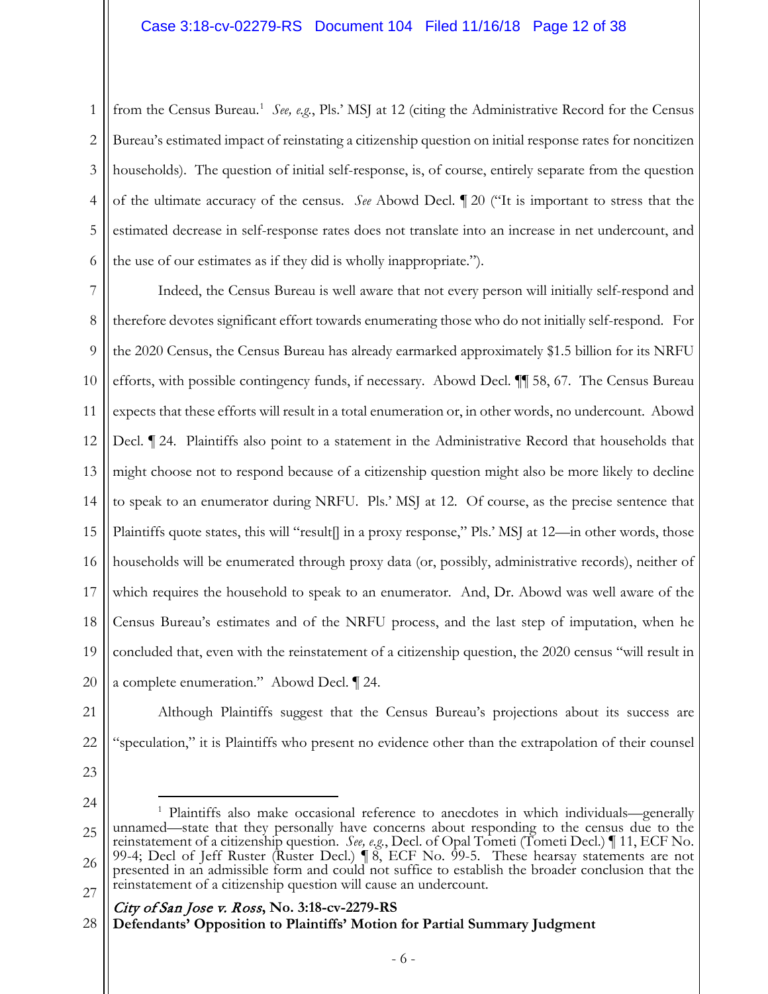1 2 3 4 5 6 from the Census Bureau.<sup>[1](#page-11-0)</sup> See, e.g., Pls.' MSJ at 12 (citing the Administrative Record for the Census Bureau's estimated impact of reinstating a citizenship question on initial response rates for noncitizen households). The question of initial self-response, is, of course, entirely separate from the question of the ultimate accuracy of the census. *See* Abowd Decl. ¶ 20 ("It is important to stress that the estimated decrease in self-response rates does not translate into an increase in net undercount, and the use of our estimates as if they did is wholly inappropriate.").

7 8 9 10 11 12 13 14 15 16 17 18 19 20 Indeed, the Census Bureau is well aware that not every person will initially self-respond and therefore devotes significant effort towards enumerating those who do not initially self-respond. For the 2020 Census, the Census Bureau has already earmarked approximately \$1.5 billion for its NRFU efforts, with possible contingency funds, if necessary. Abowd Decl. ¶¶ 58, 67. The Census Bureau expects that these efforts will result in a total enumeration or, in other words, no undercount. Abowd Decl. ¶ 24. Plaintiffs also point to a statement in the Administrative Record that households that might choose not to respond because of a citizenship question might also be more likely to decline to speak to an enumerator during NRFU. Pls.' MSJ at 12. Of course, as the precise sentence that Plaintiffs quote states, this will "result[] in a proxy response," Pls.' MSJ at 12—in other words, those households will be enumerated through proxy data (or, possibly, administrative records), neither of which requires the household to speak to an enumerator. And, Dr. Abowd was well aware of the Census Bureau's estimates and of the NRFU process, and the last step of imputation, when he concluded that, even with the reinstatement of a citizenship question, the 2020 census "will result in a complete enumeration." Abowd Decl. ¶ 24.

21

Although Plaintiffs suggest that the Census Bureau's projections about its success are "speculation," it is Plaintiffs who present no evidence other than the extrapolation of their counsel

23

24

22

<span id="page-11-0"></span>25 26 27 <sup>1</sup> Plaintiffs also make occasional reference to anecdotes in which individuals—generally unnamed—state that they personally have concerns about responding to the census due to the reinstatement of a citizenship question. *See, e.g.*, Decl. of Opal Tometi (Tometi Decl.) ¶ 11, ECF No. 99-4; Decl of Jeff Ruster (Ruster Decl.)  $\parallel$  8, ECF No. 99-5. These hearsay statements are not presented in an admissible form and could not suffice to establish the broader conclusion that the reinstatement of a citizenship question will cause an undercount.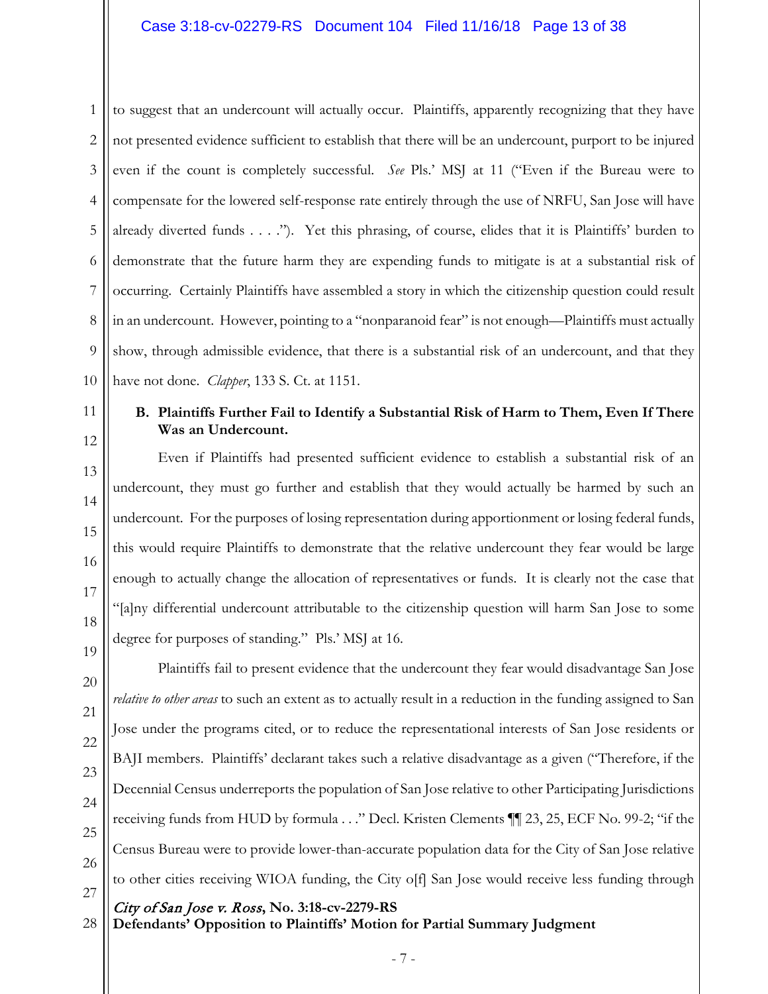1 2 3 4 5 6 7 8 9 10 to suggest that an undercount will actually occur. Plaintiffs, apparently recognizing that they have not presented evidence sufficient to establish that there will be an undercount, purport to be injured even if the count is completely successful. *See* Pls.' MSJ at 11 ("Even if the Bureau were to compensate for the lowered self-response rate entirely through the use of NRFU, San Jose will have already diverted funds . . . ."). Yet this phrasing, of course, elides that it is Plaintiffs' burden to demonstrate that the future harm they are expending funds to mitigate is at a substantial risk of occurring. Certainly Plaintiffs have assembled a story in which the citizenship question could result in an undercount. However, pointing to a "nonparanoid fear" is not enough—Plaintiffs must actually show, through admissible evidence, that there is a substantial risk of an undercount, and that they have not done. *Clapper*, 133 S. Ct. at 1151.

11 12

13

14

15

16

17

18

19

20

21

22

23

24

25

26

27

# **B. Plaintiffs Further Fail to Identify a Substantial Risk of Harm to Them, Even If There Was an Undercount.**

Even if Plaintiffs had presented sufficient evidence to establish a substantial risk of an undercount, they must go further and establish that they would actually be harmed by such an undercount. For the purposes of losing representation during apportionment or losing federal funds, this would require Plaintiffs to demonstrate that the relative undercount they fear would be large enough to actually change the allocation of representatives or funds. It is clearly not the case that "[a]ny differential undercount attributable to the citizenship question will harm San Jose to some degree for purposes of standing." Pls.' MSJ at 16.

Plaintiffs fail to present evidence that the undercount they fear would disadvantage San Jose *relative to other areas* to such an extent as to actually result in a reduction in the funding assigned to San Jose under the programs cited, or to reduce the representational interests of San Jose residents or BAJI members. Plaintiffs' declarant takes such a relative disadvantage as a given ("Therefore, if the Decennial Census underreports the population of San Jose relative to other Participating Jurisdictions receiving funds from HUD by formula . . ." Decl. Kristen Clements ¶¶ 23, 25, ECF No. 99-2; "if the Census Bureau were to provide lower-than-accurate population data for the City of San Jose relative to other cities receiving WIOA funding, the City o[f] San Jose would receive less funding through

City of San Jose v. Ross**, No. 3:18-cv-2279-RS**

**Defendants' Opposition to Plaintiffs' Motion for Partial Summary Judgment** 28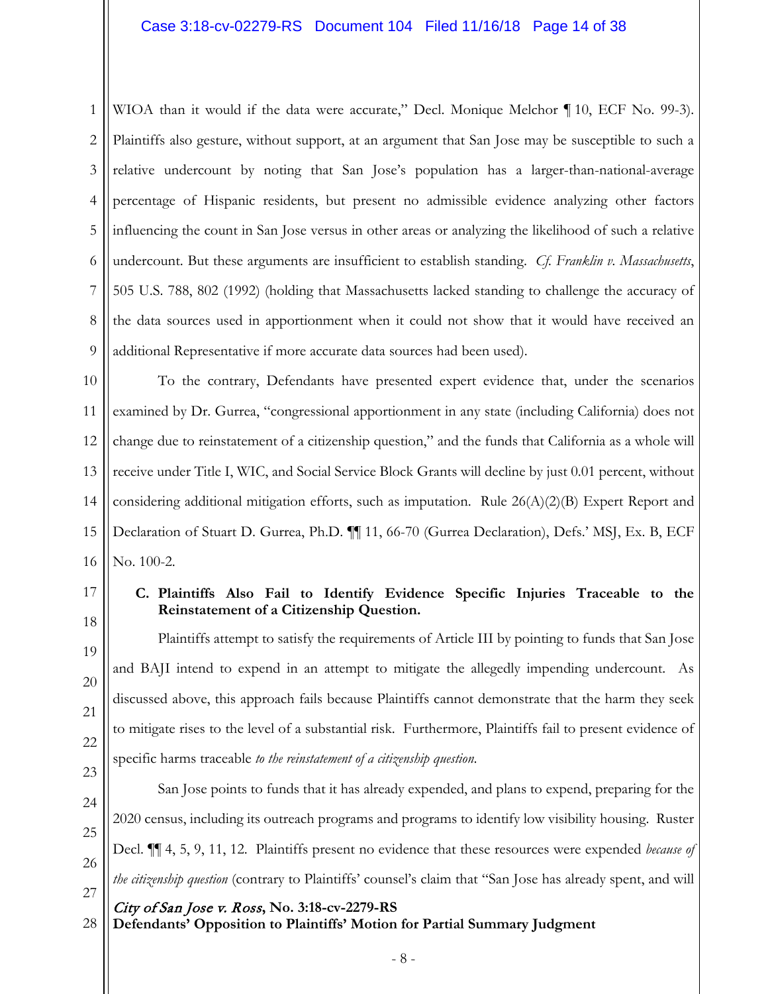1 2 3 4 5 6 7 8 9 WIOA than it would if the data were accurate," Decl. Monique Melchor ¶ 10, ECF No. 99-3). Plaintiffs also gesture, without support, at an argument that San Jose may be susceptible to such a relative undercount by noting that San Jose's population has a larger-than-national-average percentage of Hispanic residents, but present no admissible evidence analyzing other factors influencing the count in San Jose versus in other areas or analyzing the likelihood of such a relative undercount. But these arguments are insufficient to establish standing. *Cf. Franklin v. Massachusetts*, 505 U.S. 788, 802 (1992) (holding that Massachusetts lacked standing to challenge the accuracy of the data sources used in apportionment when it could not show that it would have received an additional Representative if more accurate data sources had been used).

10 11 12 13 14 15 16 To the contrary, Defendants have presented expert evidence that, under the scenarios examined by Dr. Gurrea, "congressional apportionment in any state (including California) does not change due to reinstatement of a citizenship question," and the funds that California as a whole will receive under Title I, WIC, and Social Service Block Grants will decline by just 0.01 percent, without considering additional mitigation efforts, such as imputation. Rule  $26(A)(2)(B)$  Expert Report and Declaration of Stuart D. Gurrea, Ph.D. ¶¶ 11, 66-70 (Gurrea Declaration), Defs.' MSJ, Ex. B, ECF No. 100-2.

17

18

19

20

21

22

23

24

25

26

# **C. Plaintiffs Also Fail to Identify Evidence Specific Injuries Traceable to the Reinstatement of a Citizenship Question.**

Plaintiffs attempt to satisfy the requirements of Article III by pointing to funds that San Jose and BAJI intend to expend in an attempt to mitigate the allegedly impending undercount. As discussed above, this approach fails because Plaintiffs cannot demonstrate that the harm they seek to mitigate rises to the level of a substantial risk. Furthermore, Plaintiffs fail to present evidence of specific harms traceable *to the reinstatement of a citizenship question*.

San Jose points to funds that it has already expended, and plans to expend, preparing for the 2020 census, including its outreach programs and programs to identify low visibility housing. Ruster Decl. ¶¶ 4, 5, 9, 11, 12. Plaintiffs present no evidence that these resources were expended *because of the citizenship question* (contrary to Plaintiffs' counsel's claim that "San Jose has already spent, and will

- 27
- **Defendants' Opposition to Plaintiffs' Motion for Partial Summary Judgment** 28

City of San Jose v. Ross**, No. 3:18-cv-2279-RS**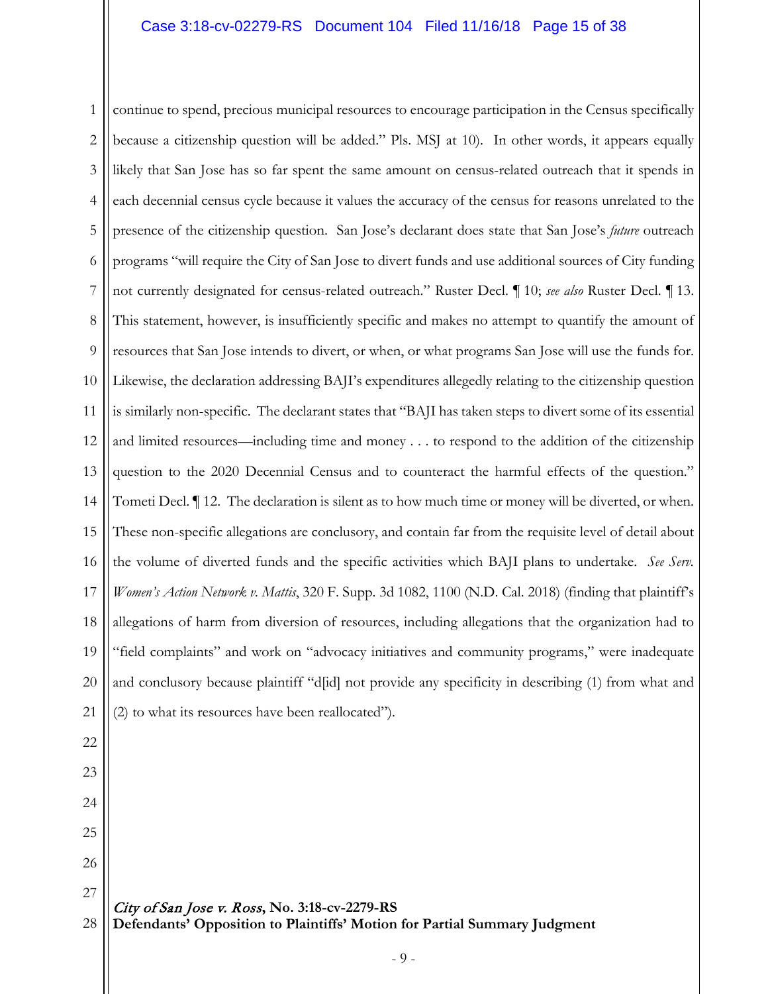1 2 3 4 5 6 7 8 9 10 11 12 13 14 15 16 17 18 19 20 continue to spend, precious municipal resources to encourage participation in the Census specifically because a citizenship question will be added." Pls. MSJ at 10). In other words, it appears equally likely that San Jose has so far spent the same amount on census-related outreach that it spends in each decennial census cycle because it values the accuracy of the census for reasons unrelated to the presence of the citizenship question. San Jose's declarant does state that San Jose's *future* outreach programs "will require the City of San Jose to divert funds and use additional sources of City funding not currently designated for census-related outreach." Ruster Decl. ¶ 10; *see also* Ruster Decl. ¶ 13. This statement, however, is insufficiently specific and makes no attempt to quantify the amount of resources that San Jose intends to divert, or when, or what programs San Jose will use the funds for. Likewise, the declaration addressing BAJI's expenditures allegedly relating to the citizenship question is similarly non-specific. The declarant states that "BAJI has taken steps to divert some of its essential and limited resources—including time and money . . . to respond to the addition of the citizenship question to the 2020 Decennial Census and to counteract the harmful effects of the question." Tometi Decl. ¶ 12. The declaration is silent as to how much time or money will be diverted, or when. These non-specific allegations are conclusory, and contain far from the requisite level of detail about the volume of diverted funds and the specific activities which BAJI plans to undertake. *See Serv. Women's Action Network v. Mattis*, 320 F. Supp. 3d 1082, 1100 (N.D. Cal. 2018) (finding that plaintiff's allegations of harm from diversion of resources, including allegations that the organization had to "field complaints" and work on "advocacy initiatives and community programs," were inadequate and conclusory because plaintiff "d[id] not provide any specificity in describing (1) from what and (2) to what its resources have been reallocated").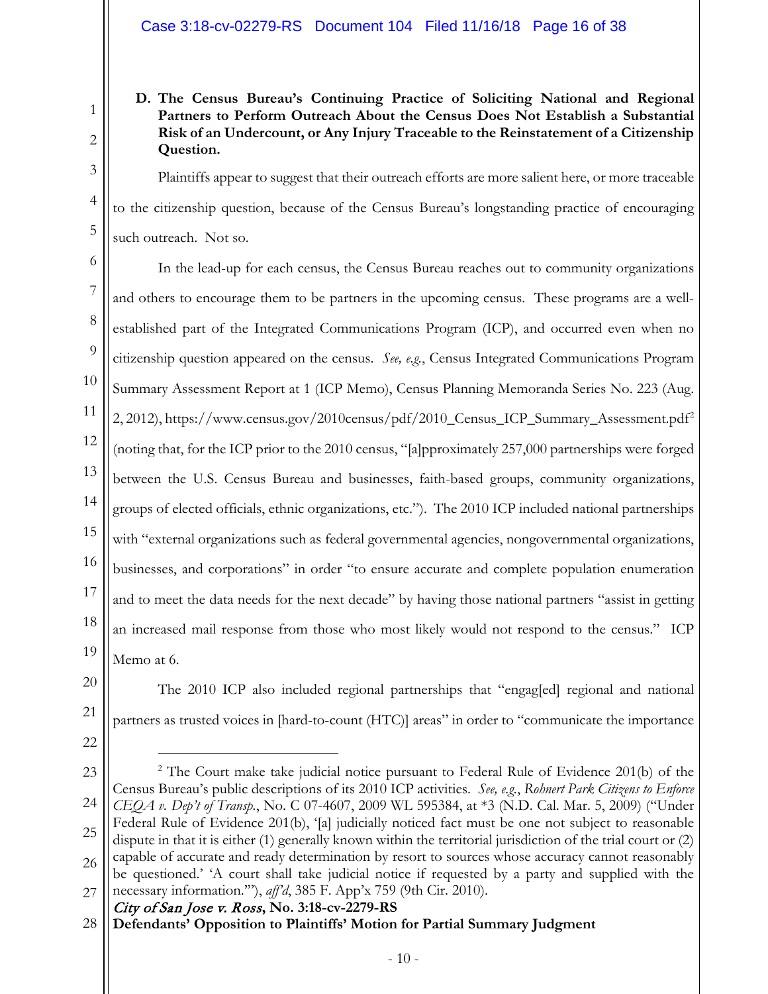# **D. The Census Bureau's Continuing Practice of Soliciting National and Regional Partners to Perform Outreach About the Census Does Not Establish a Substantial Risk of an Undercount, or Any Injury Traceable to the Reinstatement of a Citizenship Question.**

Plaintiffs appear to suggest that their outreach efforts are more salient here, or more traceable to the citizenship question, because of the Census Bureau's longstanding practice of encouraging such outreach. Not so.

6 7 8 9 10 11 12 13 14 15 16 17 18 19 In the lead-up for each census, the Census Bureau reaches out to community organizations and others to encourage them to be partners in the upcoming census. These programs are a wellestablished part of the Integrated Communications Program (ICP), and occurred even when no citizenship question appeared on the census. *See, e.g.*, Census Integrated Communications Program Summary Assessment Report at 1 (ICP Memo), Census Planning Memoranda Series No. 223 (Aug. [2](#page-15-0), 2012), https://www.census.gov/2010census/pdf/2010\_Census\_ICP\_Summary\_Assessment.pdf<sup>2</sup> (noting that, for the ICP prior to the 2010 census, "[a]pproximately 257,000 partnerships were forged between the U.S. Census Bureau and businesses, faith-based groups, community organizations, groups of elected officials, ethnic organizations, etc."). The 2010 ICP included national partnerships with "external organizations such as federal governmental agencies, nongovernmental organizations, businesses, and corporations" in order "to ensure accurate and complete population enumeration and to meet the data needs for the next decade" by having those national partners "assist in getting an increased mail response from those who most likely would not respond to the census." ICP Memo at 6.

The 2010 ICP also included regional partnerships that "engag[ed] regional and national partners as trusted voices in [hard-to-count (HTC)] areas" in order to "communicate the importance

Census Bureau's public descriptions of its 2010 ICP activities. *See, e.g.*, *Rohnert Park Citizens to Enforce CEQA v. Dep't of Transp.*, No. C 07-4607, 2009 WL 595384, at \*3 (N.D. Cal. Mar. 5, 2009) ("Under Federal Rule of Evidence 201(b), '[a] judicially noticed fact must be one not subject to reasonable dispute in that it is either (1) generally known within the territorial jurisdiction of the trial court or (2) capable of accurate and ready determination by resort to sources whose accuracy cannot reasonably be questioned.' 'A court shall take judicial notice if requested by a party and supplied with the

<sup>2</sup> The Court make take judicial notice pursuant to Federal Rule of Evidence 201(b) of the

20

21

1

2

3

4

5

- <span id="page-15-0"></span>23
- 
- 24
- 25

27

26

necessary information.'"), *aff'd*, 385 F. App'x 759 (9th Cir. 2010).

City of San Jose v. Ross**, No. 3:18-cv-2279-RS**

**Defendants' Opposition to Plaintiffs' Motion for Partial Summary Judgment** 28

<sup>22</sup>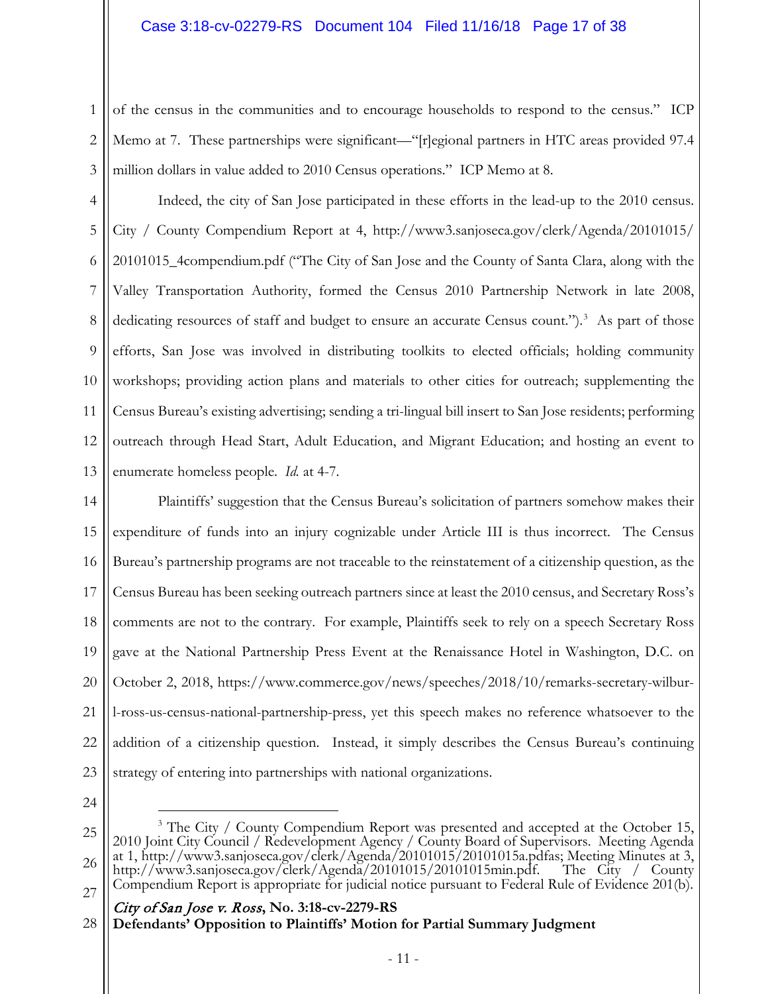1 2 3 of the census in the communities and to encourage households to respond to the census." ICP Memo at 7. These partnerships were significant—"[r]egional partners in HTC areas provided 97.4 million dollars in value added to 2010 Census operations." ICP Memo at 8.

4 5 6 7 8 9 10 11 12 13 Indeed, the city of San Jose participated in these efforts in the lead-up to the 2010 census. City / County Compendium Report at 4, http://www3.sanjoseca.gov/clerk/Agenda/20101015/ 20101015\_4compendium.pdf ("The City of San Jose and the County of Santa Clara, along with the Valley Transportation Authority, formed the Census 2010 Partnership Network in late 2008, dedicating resources of staff and budget to ensure an accurate Census count.").<sup>[3](#page-16-0)</sup> As part of those efforts, San Jose was involved in distributing toolkits to elected officials; holding community workshops; providing action plans and materials to other cities for outreach; supplementing the Census Bureau's existing advertising; sending a tri-lingual bill insert to San Jose residents; performing outreach through Head Start, Adult Education, and Migrant Education; and hosting an event to enumerate homeless people. *Id.* at 4-7.

14 15 16 17 18 19 20 21 22 23 Plaintiffs' suggestion that the Census Bureau's solicitation of partners somehow makes their expenditure of funds into an injury cognizable under Article III is thus incorrect. The Census Bureau's partnership programs are not traceable to the reinstatement of a citizenship question, as the Census Bureau has been seeking outreach partners since at least the 2010 census, and Secretary Ross's comments are not to the contrary. For example, Plaintiffs seek to rely on a speech Secretary Ross gave at the National Partnership Press Event at the Renaissance Hotel in Washington, D.C. on October 2, 2018, https://www.commerce.gov/news/speeches/2018/10/remarks-secretary-wilburl-ross-us-census-national-partnership-press, yet this speech makes no reference whatsoever to the addition of a citizenship question. Instead, it simply describes the Census Bureau's continuing strategy of entering into partnerships with national organizations.

24

<span id="page-16-0"></span>25 26 27 <sup>3</sup> The City / County Compendium Report was presented and accepted at the October 15, 2010 Joint City Council / Redevelopment Agency / County Board of Supervisors. Meeting Agenda at 1, http://www3.sanjoseca.gov/clerk/Agenda/20101015/20101015a.pdfas; Meeting Minutes at 3, http://www3.sanjoseca.gov/clerk/Agenda/20101015/20101015min.pdf. The City / County Compendium Report is appropriate for judicial notice pursuant to Federal Rule of Evidence 201(b).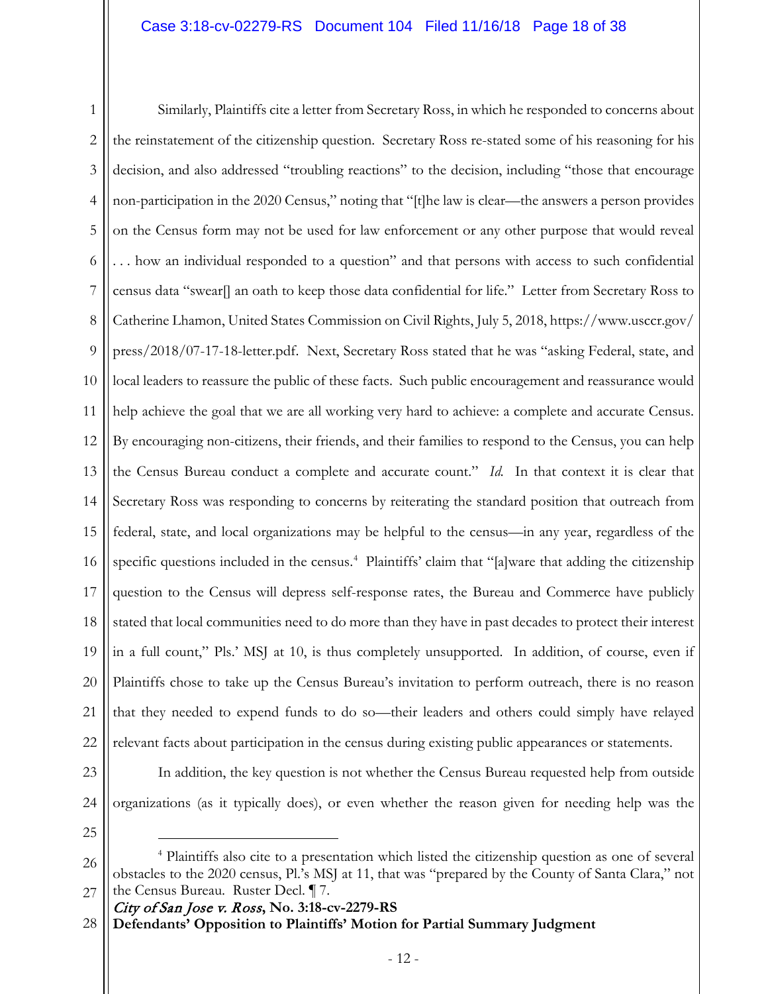1 2 3 4 5 6 7 8 9 10 11 12 13 14 15 16 17 18 19 20 21 22 Similarly, Plaintiffs cite a letter from Secretary Ross, in which he responded to concerns about the reinstatement of the citizenship question. Secretary Ross re-stated some of his reasoning for his decision, and also addressed "troubling reactions" to the decision, including "those that encourage non-participation in the 2020 Census," noting that "[t]he law is clear—the answers a person provides on the Census form may not be used for law enforcement or any other purpose that would reveal . . . how an individual responded to a question" and that persons with access to such confidential census data "swear[] an oath to keep those data confidential for life." Letter from Secretary Ross to Catherine Lhamon, United States Commission on Civil Rights, July 5, 2018, https://www.usccr.gov/ press/2018/07-17-18-letter.pdf. Next, Secretary Ross stated that he was "asking Federal, state, and local leaders to reassure the public of these facts. Such public encouragement and reassurance would help achieve the goal that we are all working very hard to achieve: a complete and accurate Census. By encouraging non-citizens, their friends, and their families to respond to the Census, you can help the Census Bureau conduct a complete and accurate count." *Id.* In that context it is clear that Secretary Ross was responding to concerns by reiterating the standard position that outreach from federal, state, and local organizations may be helpful to the census—in any year, regardless of the specific questions included in the census.<sup>[4](#page-17-0)</sup> Plaintiffs' claim that "[a]ware that adding the citizenship question to the Census will depress self-response rates, the Bureau and Commerce have publicly stated that local communities need to do more than they have in past decades to protect their interest in a full count," Pls.' MSJ at 10, is thus completely unsupported. In addition, of course, even if Plaintiffs chose to take up the Census Bureau's invitation to perform outreach, there is no reason that they needed to expend funds to do so—their leaders and others could simply have relayed relevant facts about participation in the census during existing public appearances or statements.

23

24

In addition, the key question is not whether the Census Bureau requested help from outside organizations (as it typically does), or even whether the reason given for needing help was the

25

City of San Jose v. Ross**, No. 3:18-cv-2279-RS**

**Defendants' Opposition to Plaintiffs' Motion for Partial Summary Judgment** 28

<span id="page-17-0"></span><sup>26</sup> 27 4 Plaintiffs also cite to a presentation which listed the citizenship question as one of several obstacles to the 2020 census, Pl.'s MSJ at 11, that was "prepared by the County of Santa Clara," not the Census Bureau. Ruster Decl. ¶ 7.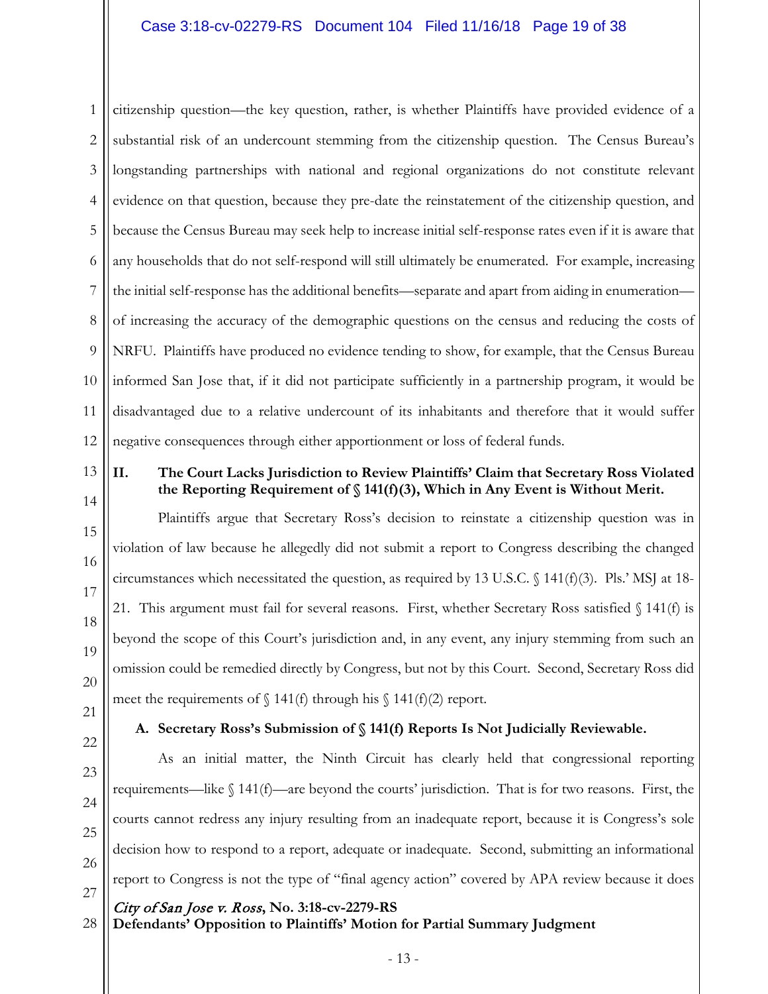1 2 3 4 5 6 7 8 9 10 11 12 citizenship question—the key question, rather, is whether Plaintiffs have provided evidence of a substantial risk of an undercount stemming from the citizenship question. The Census Bureau's longstanding partnerships with national and regional organizations do not constitute relevant evidence on that question, because they pre-date the reinstatement of the citizenship question, and because the Census Bureau may seek help to increase initial self-response rates even if it is aware that any households that do not self-respond will still ultimately be enumerated. For example, increasing the initial self-response has the additional benefits—separate and apart from aiding in enumeration of increasing the accuracy of the demographic questions on the census and reducing the costs of NRFU. Plaintiffs have produced no evidence tending to show, for example, that the Census Bureau informed San Jose that, if it did not participate sufficiently in a partnership program, it would be disadvantaged due to a relative undercount of its inhabitants and therefore that it would suffer negative consequences through either apportionment or loss of federal funds.

13 14

15

16

17

18

19

20

# **II. The Court Lacks Jurisdiction to Review Plaintiffs' Claim that Secretary Ross Violated the Reporting Requirement of § 141(f)(3), Which in Any Event is Without Merit.**

Plaintiffs argue that Secretary Ross's decision to reinstate a citizenship question was in violation of law because he allegedly did not submit a report to Congress describing the changed circumstances which necessitated the question, as required by 13 U.S.C.  $\{(141(f)(3))$ . Pls.' MSJ at 18-21. This argument must fail for several reasons. First, whether Secretary Ross satisfied  $\int$  141(f) is beyond the scope of this Court's jurisdiction and, in any event, any injury stemming from such an omission could be remedied directly by Congress, but not by this Court. Second, Secretary Ross did meet the requirements of  $\int$  141(f) through his  $\int$  141(f)(2) report.

21 22

23

24

25

26

# **A. Secretary Ross's Submission of § 141(f) Reports Is Not Judicially Reviewable.**

As an initial matter, the Ninth Circuit has clearly held that congressional reporting requirements—like  $\int 141(f)$ —are beyond the courts' jurisdiction. That is for two reasons. First, the courts cannot redress any injury resulting from an inadequate report, because it is Congress's sole decision how to respond to a report, adequate or inadequate. Second, submitting an informational report to Congress is not the type of "final agency action" covered by APA review because it does

27

28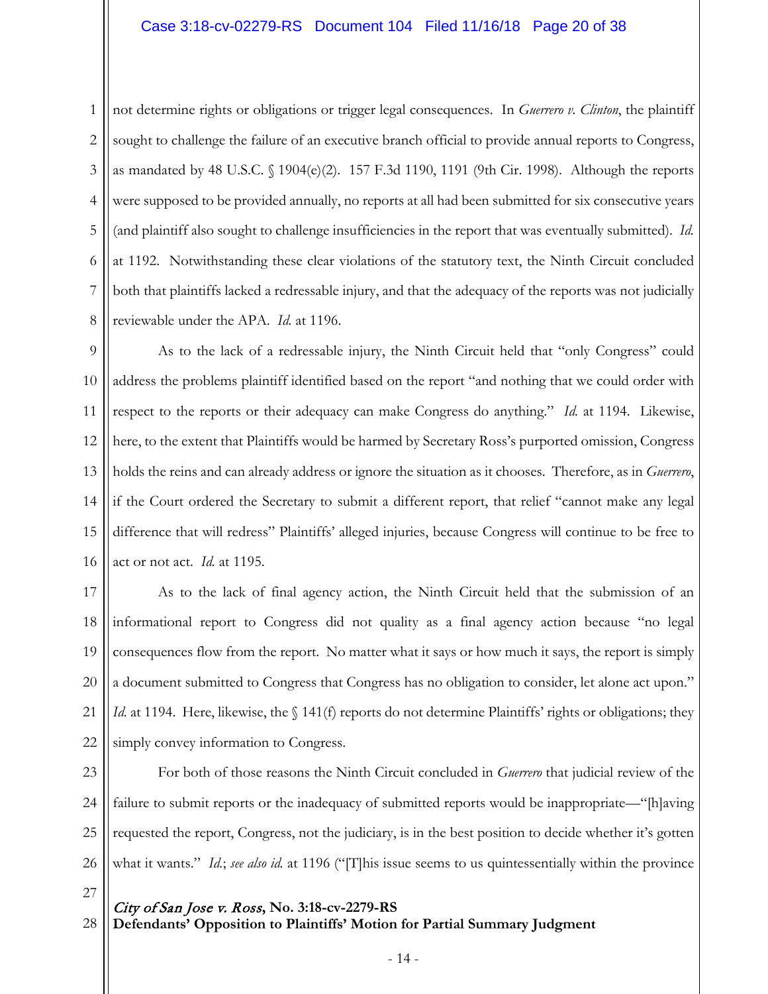# Case 3:18-cv-02279-RS Document 104 Filed 11/16/18 Page 20 of 38

1 2 3 4 5 6 7 8 not determine rights or obligations or trigger legal consequences. In *Guerrero v. Clinton*, the plaintiff sought to challenge the failure of an executive branch official to provide annual reports to Congress, as mandated by 48 U.S.C. § 1904(e)(2). 157 F.3d 1190, 1191 (9th Cir. 1998). Although the reports were supposed to be provided annually, no reports at all had been submitted for six consecutive years (and plaintiff also sought to challenge insufficiencies in the report that was eventually submitted). *Id.* at 1192. Notwithstanding these clear violations of the statutory text, the Ninth Circuit concluded both that plaintiffs lacked a redressable injury, and that the adequacy of the reports was not judicially reviewable under the APA. *Id.* at 1196.

9 10 11 12 13 14 15 16 As to the lack of a redressable injury, the Ninth Circuit held that "only Congress" could address the problems plaintiff identified based on the report "and nothing that we could order with respect to the reports or their adequacy can make Congress do anything." *Id.* at 1194. Likewise, here, to the extent that Plaintiffs would be harmed by Secretary Ross's purported omission, Congress holds the reins and can already address or ignore the situation as it chooses. Therefore, as in *Guerrero*, if the Court ordered the Secretary to submit a different report, that relief "cannot make any legal difference that will redress" Plaintiffs' alleged injuries, because Congress will continue to be free to act or not act. *Id.* at 1195.

17 18 19 20 21 22 As to the lack of final agency action, the Ninth Circuit held that the submission of an informational report to Congress did not quality as a final agency action because "no legal consequences flow from the report. No matter what it says or how much it says, the report is simply a document submitted to Congress that Congress has no obligation to consider, let alone act upon." *Id.* at 1194. Here, likewise, the § 141(f) reports do not determine Plaintiffs' rights or obligations; they simply convey information to Congress.

23 24 25 26 For both of those reasons the Ninth Circuit concluded in *Guerrero* that judicial review of the failure to submit reports or the inadequacy of submitted reports would be inappropriate—"[h]aving requested the report, Congress, not the judiciary, is in the best position to decide whether it's gotten what it wants." *Id.*; *see also id.* at 1196 ("[T]his issue seems to us quintessentially within the province

- City of San Jose v. Ross**, No. 3:18-cv-2279-RS Defendants' Opposition to Plaintiffs' Motion for Partial Summary Judgment** 27 28
	- 14 -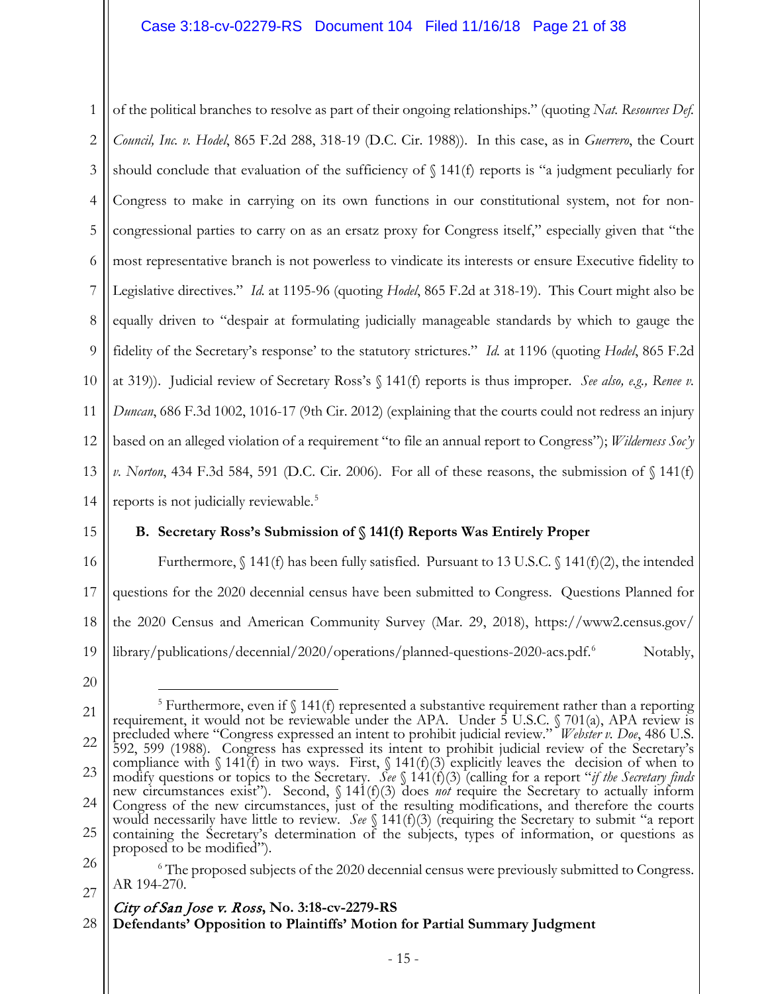1 2 3 4 5 6 7 8 9 10 11 12 13 14 of the political branches to resolve as part of their ongoing relationships." (quoting *Nat. Resources Def. Council, Inc. v. Hodel*, 865 F.2d 288, 318-19 (D.C. Cir. 1988)). In this case, as in *Guerrero*, the Court should conclude that evaluation of the sufficiency of  $\S$  141(f) reports is "a judgment peculiarly for Congress to make in carrying on its own functions in our constitutional system, not for noncongressional parties to carry on as an ersatz proxy for Congress itself," especially given that "the most representative branch is not powerless to vindicate its interests or ensure Executive fidelity to Legislative directives." *Id.* at 1195-96 (quoting *Hodel*, 865 F.2d at 318-19). This Court might also be equally driven to "despair at formulating judicially manageable standards by which to gauge the fidelity of the Secretary's response' to the statutory strictures." *Id.* at 1196 (quoting *Hodel*, 865 F.2d at 319)). Judicial review of Secretary Ross's § 141(f) reports is thus improper. *See also, e.g., Renee v. Duncan*, 686 F.3d 1002, 1016-17 (9th Cir. 2012) (explaining that the courts could not redress an injury based on an alleged violation of a requirement "to file an annual report to Congress"); *Wilderness Soc'y v. Norton*, 434 F.3d 584, 591 (D.C. Cir. 2006). For all of these reasons, the submission of § 141(f) reports is not judicially reviewable.<sup>[5](#page-20-0)</sup>

15

# **B. Secretary Ross's Submission of § 141(f) Reports Was Entirely Proper**

16 17 18 19 Furthermore,  $\int$  141(f) has been fully satisfied. Pursuant to 13 U.S.C.  $\int$  141(f)(2), the intended questions for the 2020 decennial census have been submitted to Congress. Questions Planned for the 2020 Census and American Community Survey (Mar. 29, 2018), https://www2.census.gov/ library/publications/decennial/2020/operations/planned-questions-2020-acs.pdf. [6](#page-20-1) Notably,

20

# City of San Jose v. Ross**, No. 3:18-cv-2279-RS**

**Defendants' Opposition to Plaintiffs' Motion for Partial Summary Judgment** 28

<span id="page-20-0"></span><sup>21</sup> 22 23 24 25 <sup>5</sup> Furthermore, even if  $\int$  141(f) represented a substantive requirement rather than a reporting requirement, it would not be reviewable under the APA. Under 5 U.S.C. § 701(a), APA review is precluded where "Congress expressed an intent to prohibit judicial review." *Webster v. Doe*, 486 U.S. 592, 599 (1988). Congress has expressed its intent to prohibit judicial review of the Secretary's compliance with  $\int 141(f)$  in two ways. First,  $\int 141(f)(3)$  explicitly leaves the decision of when to modify questions or topics to the Secretary. *See* § 141(f)(3) (calling for a report "*if the Secretary finds* new circumstances exist"). Second, § 141(f)(3) does *not* require the Secretary to actually inform Congress of the new circumstances, just of the resulting modifications, and therefore the courts would necessarily have little to review. *See* § 141(f)(3) (requiring the Secretary to submit "a report containing the Secretary's determination of the subjects, types of information, or questions as proposed to be modified").

<span id="page-20-1"></span><sup>26</sup> 27  $6$  The proposed subjects of the 2020 decennial census were previously submitted to Congress. AR 194-270.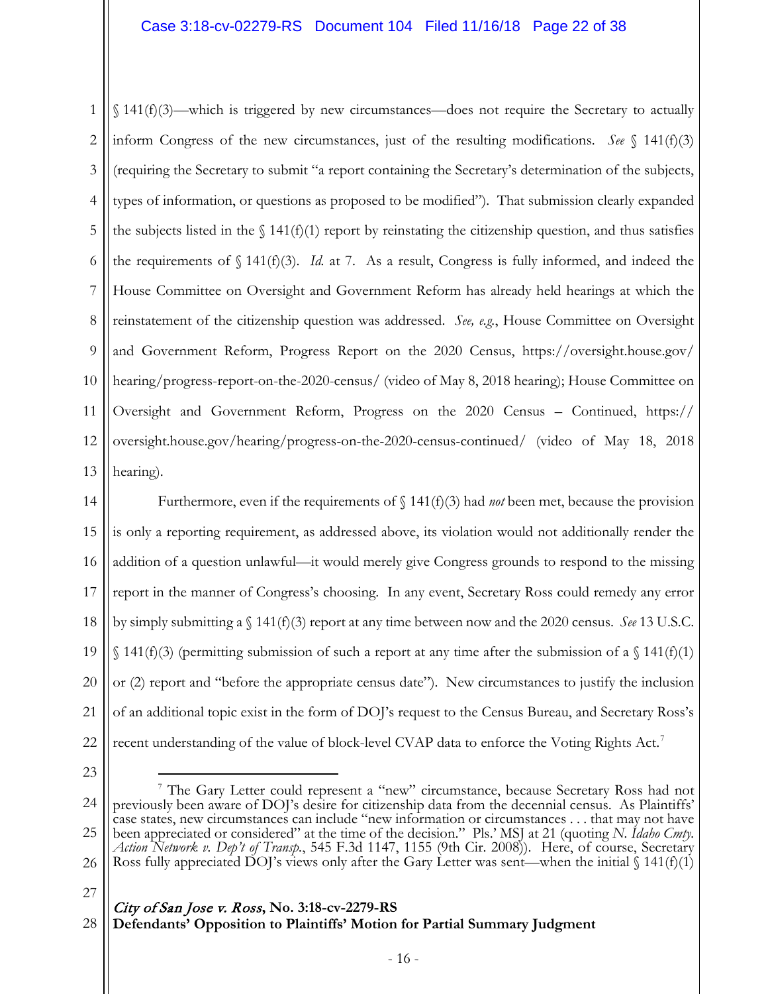1 2 3 4 5 6 7 8 9 10 11 12 13 § 141(f)(3)—which is triggered by new circumstances—does not require the Secretary to actually inform Congress of the new circumstances, just of the resulting modifications. *See* § 141(f)(3) (requiring the Secretary to submit "a report containing the Secretary's determination of the subjects, types of information, or questions as proposed to be modified"). That submission clearly expanded the subjects listed in the  $\int$  141(f)(1) report by reinstating the citizenship question, and thus satisfies the requirements of  $\int 141(f)(3)$ . *Id.* at 7. As a result, Congress is fully informed, and indeed the House Committee on Oversight and Government Reform has already held hearings at which the reinstatement of the citizenship question was addressed. *See, e.g.*, House Committee on Oversight and Government Reform, Progress Report on the 2020 Census, https://oversight.house.gov/ hearing/progress-report-on-the-2020-census/ (video of May 8, 2018 hearing); House Committee on Oversight and Government Reform, Progress on the 2020 Census – Continued, https:// oversight.house.gov/hearing/progress-on-the-2020-census-continued/ (video of May 18, 2018 hearing).

14 15 16 17 18 19 20 21 22 Furthermore, even if the requirements of  $\int$  141(f)(3) had *not* been met, because the provision is only a reporting requirement, as addressed above, its violation would not additionally render the addition of a question unlawful—it would merely give Congress grounds to respond to the missing report in the manner of Congress's choosing. In any event, Secretary Ross could remedy any error by simply submitting a § 141(f)(3) report at any time between now and the 2020 census. *See* 13 U.S.C.  $\{(141(f)(3))\}$  (permitting submission of such a report at any time after the submission of a  $(141(f)(1))$ or (2) report and "before the appropriate census date"). New circumstances to justify the inclusion of an additional topic exist in the form of DOJ's request to the Census Bureau, and Secretary Ross's recent understanding of the value of block-level CVAP data to enforce the Voting Rights Act.<sup>[7](#page-21-0)</sup>

23

27

<span id="page-21-0"></span><sup>24</sup> 25 26 7 The Gary Letter could represent a "new" circumstance, because Secretary Ross had not previously been aware of DOJ's desire for citizenship data from the decennial census. As Plaintiffs' case states, new circumstances can include "new information or circumstances . . . that may not have been appreciated or considered" at the time of the decision." Pls.' MSJ at 21 (quoting *N. Idaho Cmty. Action Network v. Dep't of Transp.*, 545 F.3d 1147, 1155 (9th Cir. 2008)). Here, of course, Secretary Ross fully appreciated DOJ's views only after the Gary Letter was sent—when the initial  $\int$  141(f)(1)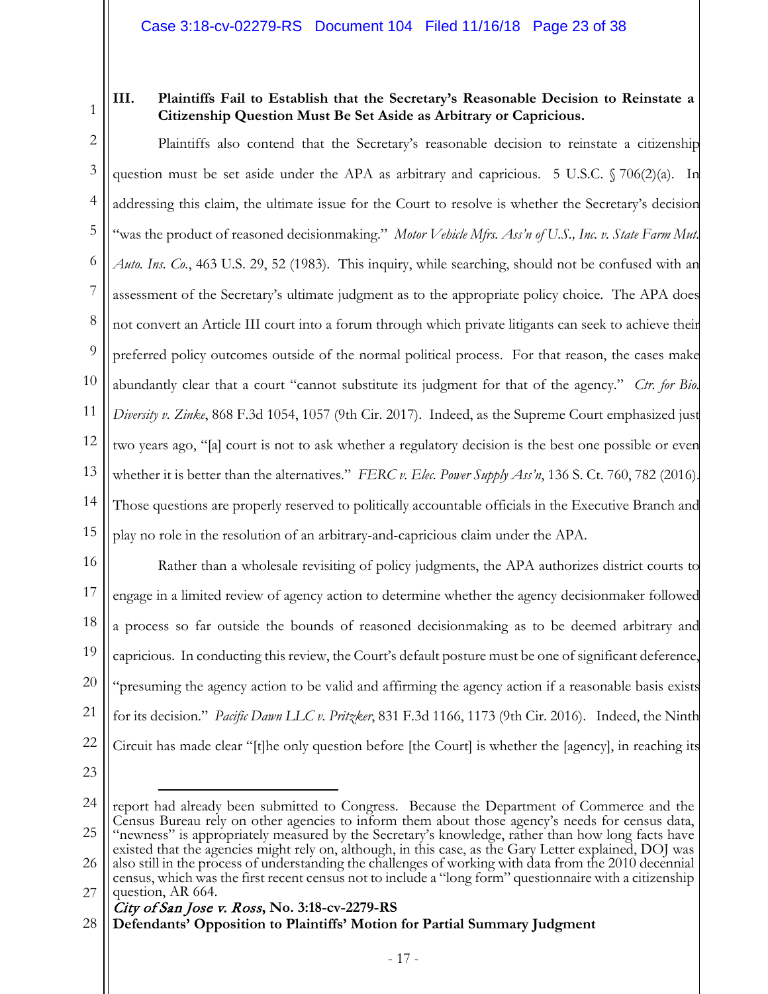1

# **III. Plaintiffs Fail to Establish that the Secretary's Reasonable Decision to Reinstate a Citizenship Question Must Be Set Aside as Arbitrary or Capricious.**

2 3 4 5 6 7 8 9 10 11 12 13 14 15 Plaintiffs also contend that the Secretary's reasonable decision to reinstate a citizenship question must be set aside under the APA as arbitrary and capricious. 5 U.S.C.  $\sqrt{706(2)}$ (a). In addressing this claim, the ultimate issue for the Court to resolve is whether the Secretary's decision "was the product of reasoned decisionmaking." *Motor Vehicle Mfrs. Ass'n of U.S., Inc. v. State Farm Mut. Auto. Ins. Co.*, 463 U.S. 29, 52 (1983). This inquiry, while searching, should not be confused with an assessment of the Secretary's ultimate judgment as to the appropriate policy choice. The APA does not convert an Article III court into a forum through which private litigants can seek to achieve their preferred policy outcomes outside of the normal political process. For that reason, the cases make abundantly clear that a court "cannot substitute its judgment for that of the agency." *Ctr. for Bio. Diversity v. Zinke*, 868 F.3d 1054, 1057 (9th Cir. 2017). Indeed, as the Supreme Court emphasized just two years ago, "[a] court is not to ask whether a regulatory decision is the best one possible or even whether it is better than the alternatives." *FERC v. Elec. Power Supply Ass'n*, 136 S. Ct. 760, 782 (2016). Those questions are properly reserved to politically accountable officials in the Executive Branch and play no role in the resolution of an arbitrary-and-capricious claim under the APA.

16 17 18 19 20 21 22 Rather than a wholesale revisiting of policy judgments, the APA authorizes district courts to engage in a limited review of agency action to determine whether the agency decisionmaker followed a process so far outside the bounds of reasoned decisionmaking as to be deemed arbitrary and capricious. In conducting this review, the Court's default posture must be one of significant deference, "presuming the agency action to be valid and affirming the agency action if a reasonable basis exists for its decision." *Pacific Dawn LLC v. Pritzker*, 831 F.3d 1166, 1173 (9th Cir. 2016). Indeed, the Ninth Circuit has made clear "[t]he only question before [the Court] is whether the [agency], in reaching its

23

 $\overline{a}$ 

<sup>24</sup> 25 26 27 report had already been submitted to Congress. Because the Department of Commerce and the Census Bureau rely on other agencies to inform them about those agency's needs for census data, "newness" is appropriately measured by the Secretary's knowledge, rather than how long facts have existed that the agencies might rely on, although, in this case, as the Gary Letter explained, DOJ was also still in the process of understanding the challenges of working with data from the 2010 decennial census, which was the first recent census not to include a "long form" questionnaire with a citizenship question, AR 664.

City of San Jose v. Ross**, No. 3:18-cv-2279-RS**

**Defendants' Opposition to Plaintiffs' Motion for Partial Summary Judgment** 28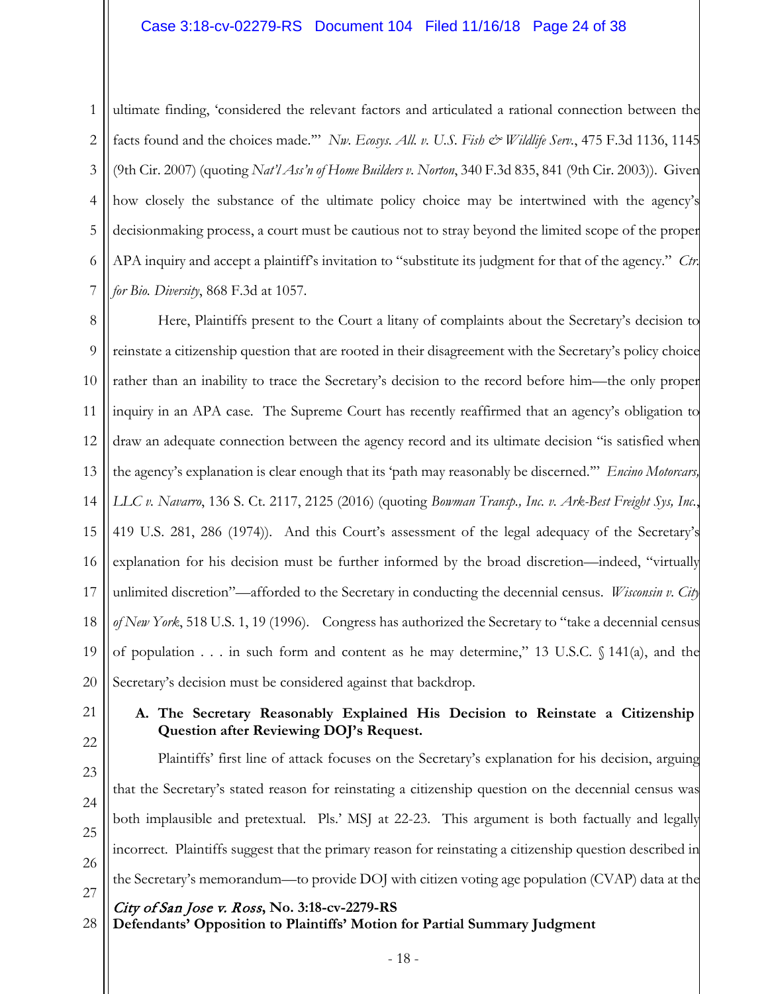1 2 3 4 5 6 7 ultimate finding, 'considered the relevant factors and articulated a rational connection between the facts found and the choices made."" *Nw. Ecosys. All. v. U.S. Fish & Wildlife Serv.*, 475 F.3d 1136, 1145 (9th Cir. 2007) (quoting *Nat'l Ass'n of Home Builders v. Norton*, 340 F.3d 835, 841 (9th Cir. 2003)). Given how closely the substance of the ultimate policy choice may be intertwined with the agency's decisionmaking process, a court must be cautious not to stray beyond the limited scope of the proper APA inquiry and accept a plaintiff's invitation to "substitute its judgment for that of the agency." *Ctr. for Bio. Diversity*, 868 F.3d at 1057.

8 9 10 11 12 13 14 15 16 17 18 19 20 Here, Plaintiffs present to the Court a litany of complaints about the Secretary's decision to reinstate a citizenship question that are rooted in their disagreement with the Secretary's policy choice rather than an inability to trace the Secretary's decision to the record before him—the only proper inquiry in an APA case. The Supreme Court has recently reaffirmed that an agency's obligation to draw an adequate connection between the agency record and its ultimate decision "is satisfied when the agency's explanation is clear enough that its 'path may reasonably be discerned.'" *Encino Motorcars, LLC v. Navarro*, 136 S. Ct. 2117, 2125 (2016) (quoting *Bowman Transp., Inc. v. Ark-Best Freight Sys, Inc.*, 419 U.S. 281, 286 (1974)). And this Court's assessment of the legal adequacy of the Secretary's explanation for his decision must be further informed by the broad discretion—indeed, "virtually unlimited discretion"—afforded to the Secretary in conducting the decennial census. *Wisconsin v. City of New York*, 518 U.S. 1, 19 (1996). Congress has authorized the Secretary to "take a decennial census of population . . . in such form and content as he may determine," 13 U.S.C. § 141(a), and the Secretary's decision must be considered against that backdrop.

21

# **A. The Secretary Reasonably Explained His Decision to Reinstate a Citizenship Question after Reviewing DOJ's Request.**

22 23

24

25

26

Plaintiffs' first line of attack focuses on the Secretary's explanation for his decision, arguing that the Secretary's stated reason for reinstating a citizenship question on the decennial census was both implausible and pretextual. Pls.' MSJ at 22-23. This argument is both factually and legally incorrect. Plaintiffs suggest that the primary reason for reinstating a citizenship question described in the Secretary's memorandum—to provide DOJ with citizen voting age population (CVAP) data at the

27

**Defendants' Opposition to Plaintiffs' Motion for Partial Summary Judgment** 28

City of San Jose v. Ross**, No. 3:18-cv-2279-RS**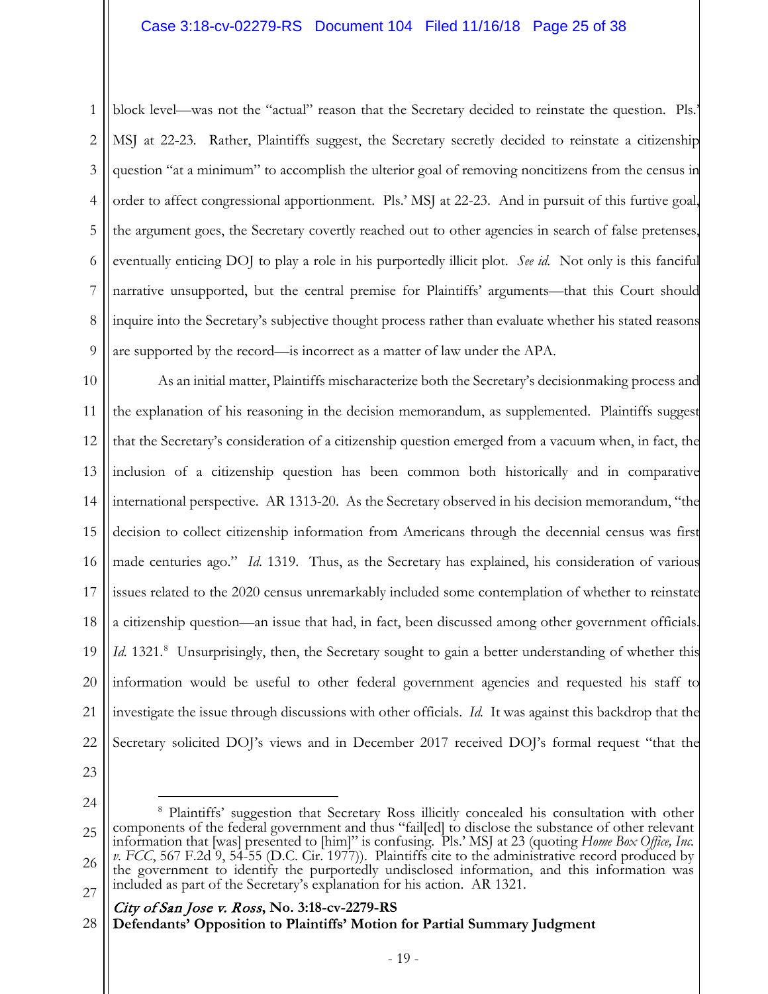1 2 3 4 5 6 7 8 9 block level—was not the "actual" reason that the Secretary decided to reinstate the question. Pls.' MSJ at 22-23*.* Rather, Plaintiffs suggest, the Secretary secretly decided to reinstate a citizenship question "at a minimum" to accomplish the ulterior goal of removing noncitizens from the census in order to affect congressional apportionment. Pls.' MSJ at 22-23. And in pursuit of this furtive goal, the argument goes, the Secretary covertly reached out to other agencies in search of false pretenses, eventually enticing DOJ to play a role in his purportedly illicit plot. *See id.* Not only is this fanciful narrative unsupported, but the central premise for Plaintiffs' arguments—that this Court should inquire into the Secretary's subjective thought process rather than evaluate whether his stated reasons are supported by the record—is incorrect as a matter of law under the APA.

10 11 12 13 14 15 16 17 18 19 20 21 22 As an initial matter, Plaintiffs mischaracterize both the Secretary's decisionmaking process and the explanation of his reasoning in the decision memorandum, as supplemented. Plaintiffs suggest that the Secretary's consideration of a citizenship question emerged from a vacuum when, in fact, the inclusion of a citizenship question has been common both historically and in comparative international perspective. AR 1313-20. As the Secretary observed in his decision memorandum, "the decision to collect citizenship information from Americans through the decennial census was first made centuries ago." *Id*. 1319. Thus, as the Secretary has explained, his consideration of various issues related to the 2020 census unremarkably included some contemplation of whether to reinstate a citizenship question—an issue that had, in fact, been discussed among other government officials. Id. 1321.<sup>[8](#page-24-0)</sup> Unsurprisingly, then, the Secretary sought to gain a better understanding of whether this information would be useful to other federal government agencies and requested his staff to investigate the issue through discussions with other officials. *Id.* It was against this backdrop that the Secretary solicited DOJ's views and in December 2017 received DOJ's formal request "that the

23

24

<span id="page-24-0"></span><sup>25</sup> 26 27 8 Plaintiffs' suggestion that Secretary Ross illicitly concealed his consultation with other components of the federal government and thus "fail[ed] to disclose the substance of other relevant information that [was] presented to [him]" is confusing. Pls.' MSJ at 23 (quoting *Home Box Office, Inc. v. FCC*, 567 F.2d 9, 54-55 (D.C. Cir. 1977)). Plaintiffs cite to the administrative record produced by the government to identify the purportedly undisclosed information, and this information was included as part of the Secretary's explanation for his action. AR 1321.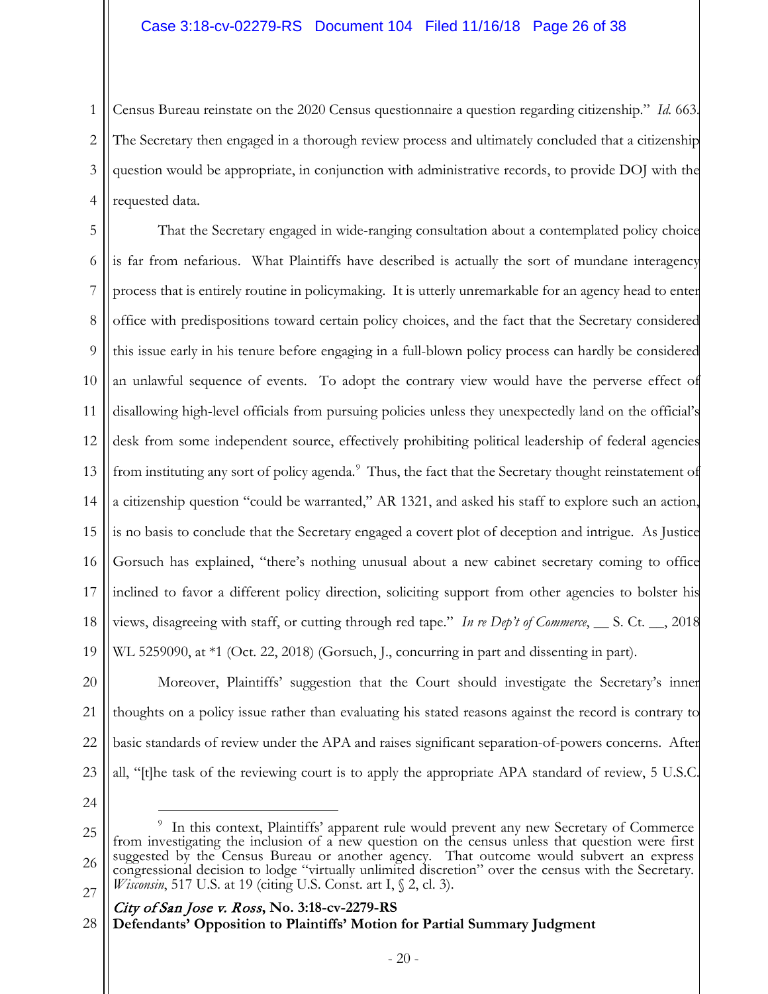1 2 3 4 Census Bureau reinstate on the 2020 Census questionnaire a question regarding citizenship." *Id.* 663. The Secretary then engaged in a thorough review process and ultimately concluded that a citizenship question would be appropriate, in conjunction with administrative records, to provide DOJ with the requested data.

5 6 7 8 9 10 11 12 13 14 15 16 17 18 19 That the Secretary engaged in wide-ranging consultation about a contemplated policy choice is far from nefarious. What Plaintiffs have described is actually the sort of mundane interagency process that is entirely routine in policymaking. It is utterly unremarkable for an agency head to enter office with predispositions toward certain policy choices, and the fact that the Secretary considered this issue early in his tenure before engaging in a full-blown policy process can hardly be considered an unlawful sequence of events. To adopt the contrary view would have the perverse effect of disallowing high-level officials from pursuing policies unless they unexpectedly land on the official's desk from some independent source, effectively prohibiting political leadership of federal agencies from instituting any sort of policy agenda.<sup>[9](#page-25-0)</sup> Thus, the fact that the Secretary thought reinstatement of a citizenship question "could be warranted," AR 1321, and asked his staff to explore such an action, is no basis to conclude that the Secretary engaged a covert plot of deception and intrigue. As Justice Gorsuch has explained, "there's nothing unusual about a new cabinet secretary coming to office inclined to favor a different policy direction, soliciting support from other agencies to bolster his views, disagreeing with staff, or cutting through red tape." *In re Dep't of Commerce*, \_\_ S. Ct. \_\_, 2018 WL 5259090, at \*1 (Oct. 22, 2018) (Gorsuch, J., concurring in part and dissenting in part).

20 21 22 23 Moreover, Plaintiffs' suggestion that the Court should investigate the Secretary's inner thoughts on a policy issue rather than evaluating his stated reasons against the record is contrary to basic standards of review under the APA and raises significant separation-of-powers concerns. After all, "[t]he task of the reviewing court is to apply the appropriate APA standard of review, 5 U.S.C.

24

<span id="page-25-0"></span><sup>25</sup> 26 27  $\frac{1}{9}$ <sup>9</sup> In this context, Plaintiffs' apparent rule would prevent any new Secretary of Commerce from investigating the inclusion of a new question on the census unless that question were first suggested by the Census Bureau or another agency. That outcome would subvert an express congressional decision to lodge "virtually unlimited discretion" over the census with the Secretary. *Wisconsin*, 517 U.S. at 19 (citing U.S. Const. art I, § 2, cl. 3).

<sup>28</sup>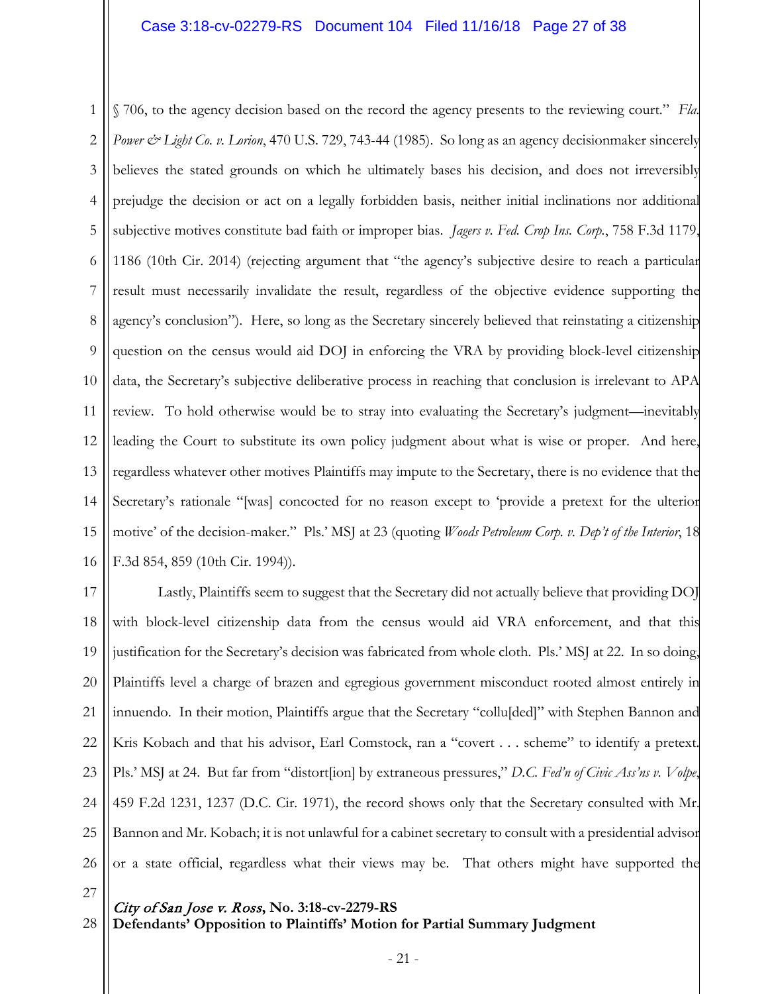1 2 3 4 5 6 7 8 9 10 11 12 13 14 15 16 § 706, to the agency decision based on the record the agency presents to the reviewing court." *Fla. Power & Light Co. v. Lorion*, 470 U.S. 729, 743-44 (1985). So long as an agency decisionmaker sincerely believes the stated grounds on which he ultimately bases his decision, and does not irreversibly prejudge the decision or act on a legally forbidden basis, neither initial inclinations nor additional subjective motives constitute bad faith or improper bias. *Jagers v. Fed. Crop Ins. Corp.*, 758 F.3d 1179, 1186 (10th Cir. 2014) (rejecting argument that "the agency's subjective desire to reach a particular result must necessarily invalidate the result, regardless of the objective evidence supporting the agency's conclusion"). Here, so long as the Secretary sincerely believed that reinstating a citizenship question on the census would aid DOJ in enforcing the VRA by providing block-level citizenship data, the Secretary's subjective deliberative process in reaching that conclusion is irrelevant to APA review. To hold otherwise would be to stray into evaluating the Secretary's judgment—inevitably leading the Court to substitute its own policy judgment about what is wise or proper. And here, regardless whatever other motives Plaintiffs may impute to the Secretary, there is no evidence that the Secretary's rationale "[was] concocted for no reason except to 'provide a pretext for the ulterior motive' of the decision-maker." Pls.' MSJ at 23 (quoting *Woods Petroleum Corp. v. Dep't of the Interior*, 18 F.3d 854, 859 (10th Cir. 1994)).

17 18 19 20 21 22 23 24 25 26 Lastly, Plaintiffs seem to suggest that the Secretary did not actually believe that providing DOJ with block-level citizenship data from the census would aid VRA enforcement, and that this justification for the Secretary's decision was fabricated from whole cloth. Pls.' MSJ at 22. In so doing, Plaintiffs level a charge of brazen and egregious government misconduct rooted almost entirely in innuendo. In their motion, Plaintiffs argue that the Secretary "collu[ded]" with Stephen Bannon and Kris Kobach and that his advisor, Earl Comstock, ran a "covert . . . scheme" to identify a pretext. Pls.' MSJ at 24. But far from "distort[ion] by extraneous pressures," *D.C. Fed'n of Civic Ass'ns v. Volpe*, 459 F.2d 1231, 1237 (D.C. Cir. 1971), the record shows only that the Secretary consulted with Mr. Bannon and Mr. Kobach; it is not unlawful for a cabinet secretary to consult with a presidential advisor or a state official, regardless what their views may be. That others might have supported the

27

28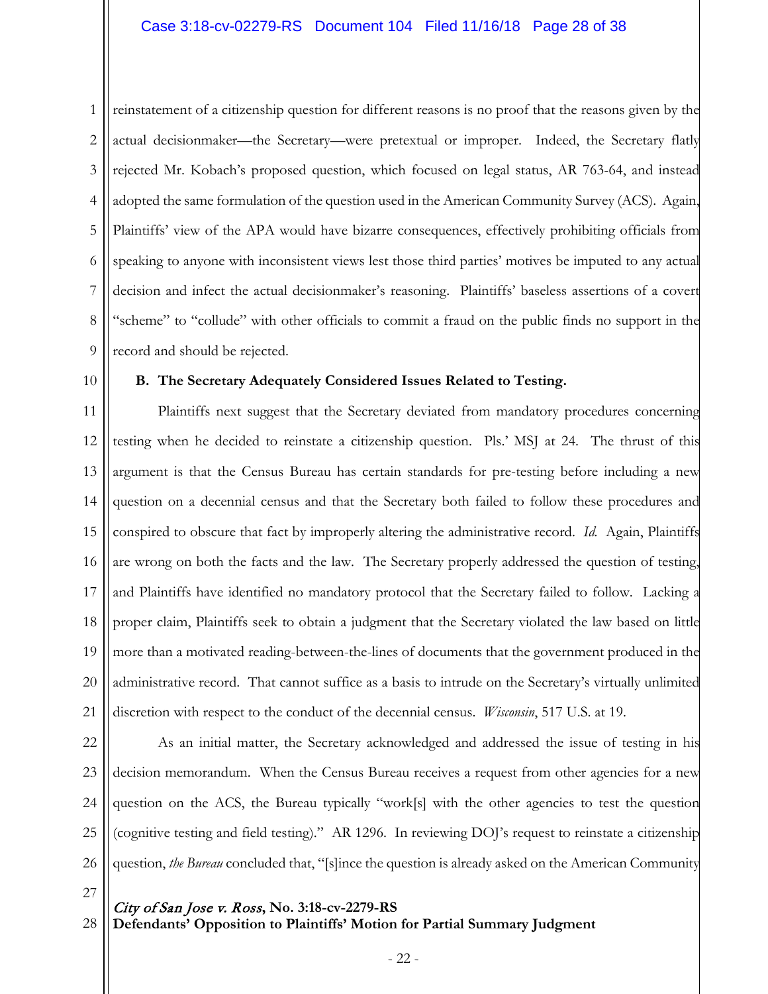1 2 3 4 5 6 7 8 9 reinstatement of a citizenship question for different reasons is no proof that the reasons given by the actual decisionmaker—the Secretary—were pretextual or improper. Indeed, the Secretary flatly rejected Mr. Kobach's proposed question, which focused on legal status, AR 763-64, and instead adopted the same formulation of the question used in the American Community Survey (ACS). Again, Plaintiffs' view of the APA would have bizarre consequences, effectively prohibiting officials from speaking to anyone with inconsistent views lest those third parties' motives be imputed to any actual decision and infect the actual decisionmaker's reasoning. Plaintiffs' baseless assertions of a covert "scheme" to "collude" with other officials to commit a fraud on the public finds no support in the record and should be rejected.

10

# **B. The Secretary Adequately Considered Issues Related to Testing.**

11 12 13 14 15 16 17 18 19 20 21 Plaintiffs next suggest that the Secretary deviated from mandatory procedures concerning testing when he decided to reinstate a citizenship question. Pls.' MSJ at 24. The thrust of this argument is that the Census Bureau has certain standards for pre-testing before including a new question on a decennial census and that the Secretary both failed to follow these procedures and conspired to obscure that fact by improperly altering the administrative record. *Id.* Again, Plaintiffs are wrong on both the facts and the law. The Secretary properly addressed the question of testing, and Plaintiffs have identified no mandatory protocol that the Secretary failed to follow. Lacking a proper claim, Plaintiffs seek to obtain a judgment that the Secretary violated the law based on little more than a motivated reading-between-the-lines of documents that the government produced in the administrative record. That cannot suffice as a basis to intrude on the Secretary's virtually unlimited discretion with respect to the conduct of the decennial census. *Wisconsin*, 517 U.S. at 19.

22 23 24 25 26 As an initial matter, the Secretary acknowledged and addressed the issue of testing in his decision memorandum. When the Census Bureau receives a request from other agencies for a new question on the ACS, the Bureau typically "work[s] with the other agencies to test the question (cognitive testing and field testing)." AR 1296. In reviewing DOJ's request to reinstate a citizenship question, *the Bureau* concluded that, "[s]ince the question is already asked on the American Community

27

28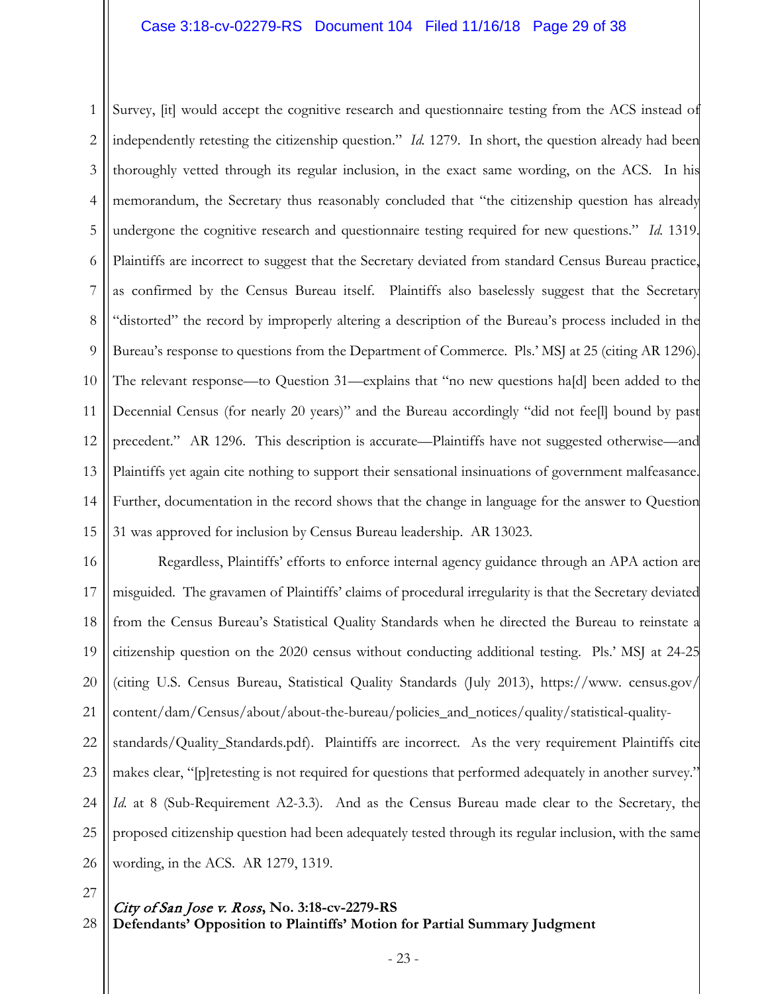1 2 3 4 5 6 7 8 9 10 11 12 13 14 15 Survey, [it] would accept the cognitive research and questionnaire testing from the ACS instead of independently retesting the citizenship question." *Id.* 1279. In short, the question already had been thoroughly vetted through its regular inclusion, in the exact same wording, on the ACS. In his memorandum, the Secretary thus reasonably concluded that "the citizenship question has already undergone the cognitive research and questionnaire testing required for new questions." *Id.* 1319. Plaintiffs are incorrect to suggest that the Secretary deviated from standard Census Bureau practice, as confirmed by the Census Bureau itself. Plaintiffs also baselessly suggest that the Secretary "distorted" the record by improperly altering a description of the Bureau's process included in the Bureau's response to questions from the Department of Commerce. Pls.' MSJ at 25 (citing AR 1296). The relevant response—to Question 31—explains that "no new questions ha[d] been added to the Decennial Census (for nearly 20 years)" and the Bureau accordingly "did not fee[l] bound by past precedent." AR 1296. This description is accurate—Plaintiffs have not suggested otherwise—and Plaintiffs yet again cite nothing to support their sensational insinuations of government malfeasance. Further, documentation in the record shows that the change in language for the answer to Question 31 was approved for inclusion by Census Bureau leadership. AR 13023.

16 17 18 19 20 21 22 23 24 25 26 Regardless, Plaintiffs' efforts to enforce internal agency guidance through an APA action are misguided. The gravamen of Plaintiffs' claims of procedural irregularity is that the Secretary deviated from the Census Bureau's Statistical Quality Standards when he directed the Bureau to reinstate a citizenship question on the 2020 census without conducting additional testing. Pls.' MSJ at 24-25 (citing U.S. Census Bureau, Statistical Quality Standards (July 2013), https://www. census.gov/ content/dam/Census/about/about-the-bureau/policies\_and\_notices/quality/statistical-qualitystandards/Quality\_Standards.pdf). Plaintiffs are incorrect. As the very requirement Plaintiffs cite makes clear, "[p]retesting is not required for questions that performed adequately in another survey." *Id.* at 8 (Sub-Requirement A2-3.3). And as the Census Bureau made clear to the Secretary, the proposed citizenship question had been adequately tested through its regular inclusion, with the same wording, in the ACS. AR 1279, 1319.

27

28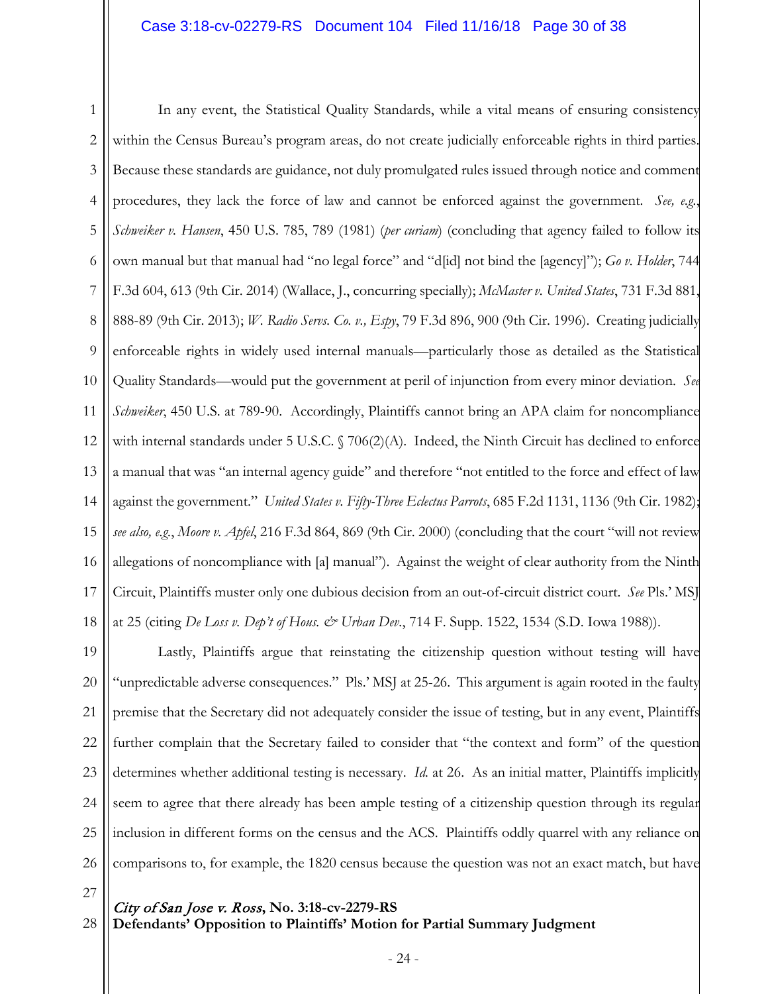# Case 3:18-cv-02279-RS Document 104 Filed 11/16/18 Page 30 of 38

1 2 3 4 5 6 7 8 9 10 11 12 13 14 15 16 17 18 In any event, the Statistical Quality Standards, while a vital means of ensuring consistency within the Census Bureau's program areas, do not create judicially enforceable rights in third parties. Because these standards are guidance, not duly promulgated rules issued through notice and comment procedures, they lack the force of law and cannot be enforced against the government. *See, e.g.*, *Schweiker v. Hansen*, 450 U.S. 785, 789 (1981) (*per curiam*) (concluding that agency failed to follow its own manual but that manual had "no legal force" and "d[id] not bind the [agency]"); *Go v. Holder*, 744 F.3d 604, 613 (9th Cir. 2014) (Wallace, J., concurring specially); *McMaster v. United States*, 731 F.3d 881, 888-89 (9th Cir. 2013); *W. Radio Servs. Co. v., Espy*, 79 F.3d 896, 900 (9th Cir. 1996). Creating judicially enforceable rights in widely used internal manuals—particularly those as detailed as the Statistical Quality Standards—would put the government at peril of injunction from every minor deviation. *See Schweiker*, 450 U.S. at 789-90. Accordingly, Plaintiffs cannot bring an APA claim for noncompliance with internal standards under 5 U.S.C. § 706(2)(A). Indeed, the Ninth Circuit has declined to enforce a manual that was "an internal agency guide" and therefore "not entitled to the force and effect of law against the government." *United States v. Fifty-Three Eclectus Parrots*, 685 F.2d 1131, 1136 (9th Cir. 1982); *see also, e.g.*, *Moore v. Apfel*, 216 F.3d 864, 869 (9th Cir. 2000) (concluding that the court "will not review allegations of noncompliance with [a] manual"). Against the weight of clear authority from the Ninth Circuit, Plaintiffs muster only one dubious decision from an out-of-circuit district court. *See* Pls.' MSJ at 25 (citing *De Loss v. Dep't of Hous. & Urban Dev.*, 714 F. Supp. 1522, 1534 (S.D. Iowa 1988)).

19 20 21 22 23 24 25 26 Lastly, Plaintiffs argue that reinstating the citizenship question without testing will have "unpredictable adverse consequences." Pls.' MSJ at 25-26. This argument is again rooted in the faulty premise that the Secretary did not adequately consider the issue of testing, but in any event, Plaintiffs further complain that the Secretary failed to consider that "the context and form" of the question determines whether additional testing is necessary. *Id.* at 26. As an initial matter, Plaintiffs implicitly seem to agree that there already has been ample testing of a citizenship question through its regular inclusion in different forms on the census and the ACS. Plaintiffs oddly quarrel with any reliance on comparisons to, for example, the 1820 census because the question was not an exact match, but have

27

28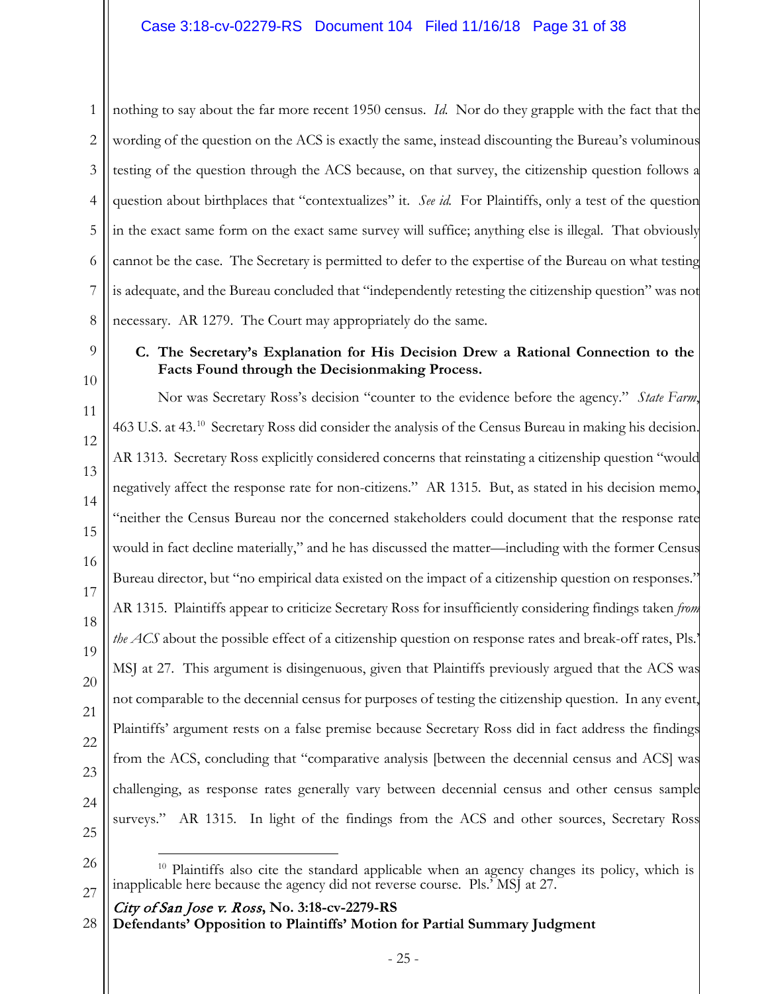1 2 3 4 5 6 7 8 nothing to say about the far more recent 1950 census. *Id.* Nor do they grapple with the fact that the wording of the question on the ACS is exactly the same, instead discounting the Bureau's voluminous testing of the question through the ACS because, on that survey, the citizenship question follows a question about birthplaces that "contextualizes" it. *See id.* For Plaintiffs, only a test of the question in the exact same form on the exact same survey will suffice; anything else is illegal. That obviously cannot be the case. The Secretary is permitted to defer to the expertise of the Bureau on what testing is adequate, and the Bureau concluded that "independently retesting the citizenship question" was not necessary. AR 1279. The Court may appropriately do the same.

10

11

12

13

14

15

16

17

18

19

20

21

22

23

24

9

# **C. The Secretary's Explanation for His Decision Drew a Rational Connection to the Facts Found through the Decisionmaking Process.**

Nor was Secretary Ross's decision "counter to the evidence before the agency." *State Farm*, 463 U.S. at 43.<sup>[10](#page-30-0)</sup> Secretary Ross did consider the analysis of the Census Bureau in making his decision. AR 1313. Secretary Ross explicitly considered concerns that reinstating a citizenship question "would negatively affect the response rate for non-citizens." AR 1315. But, as stated in his decision memo, "neither the Census Bureau nor the concerned stakeholders could document that the response rate would in fact decline materially," and he has discussed the matter—including with the former Census Bureau director, but "no empirical data existed on the impact of a citizenship question on responses." AR 1315. Plaintiffs appear to criticize Secretary Ross for insufficiently considering findings taken *from the ACS* about the possible effect of a citizenship question on response rates and break-off rates, Pls.' MSJ at 27. This argument is disingenuous, given that Plaintiffs previously argued that the ACS was not comparable to the decennial census for purposes of testing the citizenship question. In any event, Plaintiffs' argument rests on a false premise because Secretary Ross did in fact address the findings from the ACS, concluding that "comparative analysis [between the decennial census and ACS] was challenging, as response rates generally vary between decennial census and other census sample surveys." AR 1315. In light of the findings from the ACS and other sources, Secretary Ross

25 26

<span id="page-30-0"></span>27

City of San Jose v. Ross**, No. 3:18-cv-2279-RS**

**Defendants' Opposition to Plaintiffs' Motion for Partial Summary Judgment** 28

Plaintiffs also cite the standard applicable when an agency changes its policy, which is inapplicable here because the agency did not reverse course. Pls.' MSJ at 27.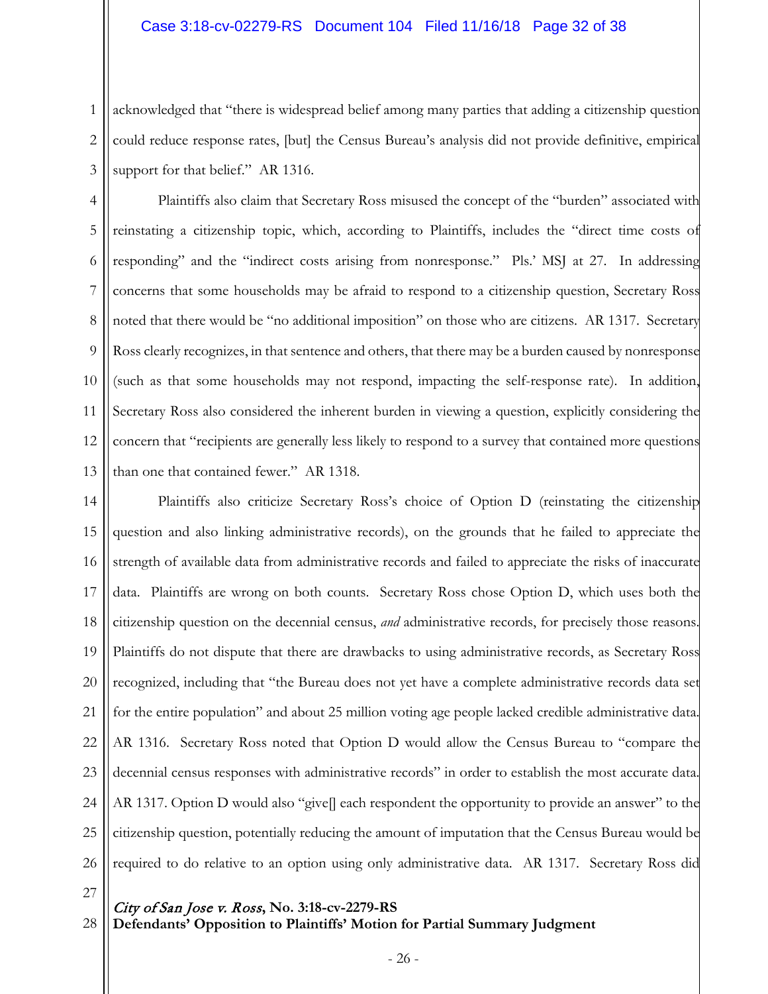### Case 3:18-cv-02279-RS Document 104 Filed 11/16/18 Page 32 of 38

1 2 3 acknowledged that "there is widespread belief among many parties that adding a citizenship question could reduce response rates, [but] the Census Bureau's analysis did not provide definitive, empirical support for that belief." AR 1316.

4 5 6 7 8 9 10 11 12 13 Plaintiffs also claim that Secretary Ross misused the concept of the "burden" associated with reinstating a citizenship topic, which, according to Plaintiffs, includes the "direct time costs of responding" and the "indirect costs arising from nonresponse." Pls.' MSJ at 27. In addressing concerns that some households may be afraid to respond to a citizenship question, Secretary Ross noted that there would be "no additional imposition" on those who are citizens. AR 1317. Secretary Ross clearly recognizes, in that sentence and others, that there may be a burden caused by nonresponse (such as that some households may not respond, impacting the self-response rate). In addition, Secretary Ross also considered the inherent burden in viewing a question, explicitly considering the concern that "recipients are generally less likely to respond to a survey that contained more questions than one that contained fewer." AR 1318.

14 15 16 17 18 19 20 21 22 23 24 25 26 Plaintiffs also criticize Secretary Ross's choice of Option D (reinstating the citizenship question and also linking administrative records), on the grounds that he failed to appreciate the strength of available data from administrative records and failed to appreciate the risks of inaccurate data. Plaintiffs are wrong on both counts. Secretary Ross chose Option D, which uses both the citizenship question on the decennial census, *and* administrative records, for precisely those reasons. Plaintiffs do not dispute that there are drawbacks to using administrative records, as Secretary Ross recognized, including that "the Bureau does not yet have a complete administrative records data set for the entire population" and about 25 million voting age people lacked credible administrative data. AR 1316. Secretary Ross noted that Option D would allow the Census Bureau to "compare the decennial census responses with administrative records" in order to establish the most accurate data. AR 1317. Option D would also "give] each respondent the opportunity to provide an answer" to the citizenship question, potentially reducing the amount of imputation that the Census Bureau would be required to do relative to an option using only administrative data. AR 1317. Secretary Ross did

27

28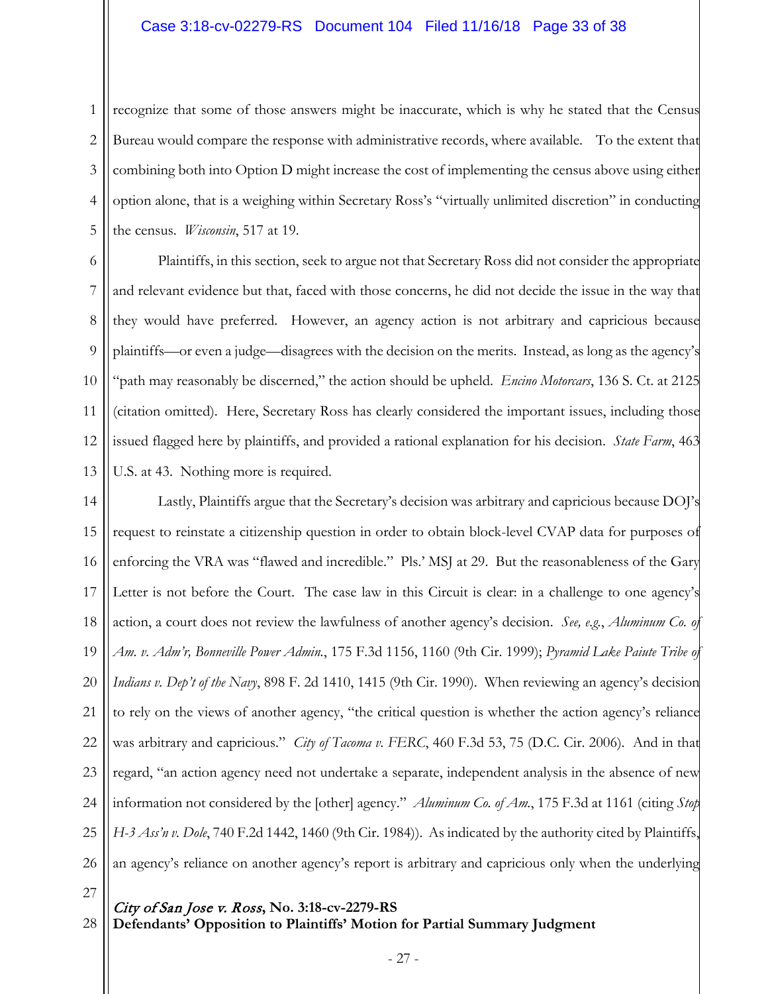# Case 3:18-cv-02279-RS Document 104 Filed 11/16/18 Page 33 of 38

1 2 3 4 5 recognize that some of those answers might be inaccurate, which is why he stated that the Census Bureau would compare the response with administrative records, where available. To the extent that combining both into Option D might increase the cost of implementing the census above using either option alone, that is a weighing within Secretary Ross's "virtually unlimited discretion" in conducting the census. *Wisconsin*, 517 at 19.

6 7 8 9 10 11 12 13 Plaintiffs, in this section, seek to argue not that Secretary Ross did not consider the appropriate and relevant evidence but that, faced with those concerns, he did not decide the issue in the way that they would have preferred. However, an agency action is not arbitrary and capricious because plaintiffs—or even a judge—disagrees with the decision on the merits. Instead, as long as the agency's "path may reasonably be discerned," the action should be upheld. *Encino Motorcars*, 136 S. Ct. at 2125 (citation omitted). Here, Secretary Ross has clearly considered the important issues, including those issued flagged here by plaintiffs, and provided a rational explanation for his decision. *State Farm*, 463 U.S. at 43. Nothing more is required.

14 15 16 17 18 19 20 21 22 23 24 25 26 Lastly, Plaintiffs argue that the Secretary's decision was arbitrary and capricious because DOJ's request to reinstate a citizenship question in order to obtain block-level CVAP data for purposes of enforcing the VRA was "flawed and incredible." Pls.' MSJ at 29. But the reasonableness of the Gary Letter is not before the Court. The case law in this Circuit is clear: in a challenge to one agency's action, a court does not review the lawfulness of another agency's decision. *See, e.g.*, *Aluminum Co. of Am. v. Adm'r, Bonneville Power Admin.*, 175 F.3d 1156, 1160 (9th Cir. 1999); *Pyramid Lake Paiute Tribe of Indians v. Dep't of the Navy*, 898 F. 2d 1410, 1415 (9th Cir. 1990). When reviewing an agency's decision to rely on the views of another agency, "the critical question is whether the action agency's reliance was arbitrary and capricious." *City of Tacoma v. FERC*, 460 F.3d 53, 75 (D.C. Cir. 2006). And in that regard, "an action agency need not undertake a separate, independent analysis in the absence of new information not considered by the [other] agency." *Aluminum Co. of Am.*, 175 F.3d at 1161 (citing *Stop H-3 Ass'n v. Dole*, 740 F.2d 1442, 1460 (9th Cir. 1984)). As indicated by the authority cited by Plaintiffs, an agency's reliance on another agency's report is arbitrary and capricious only when the underlying

27

28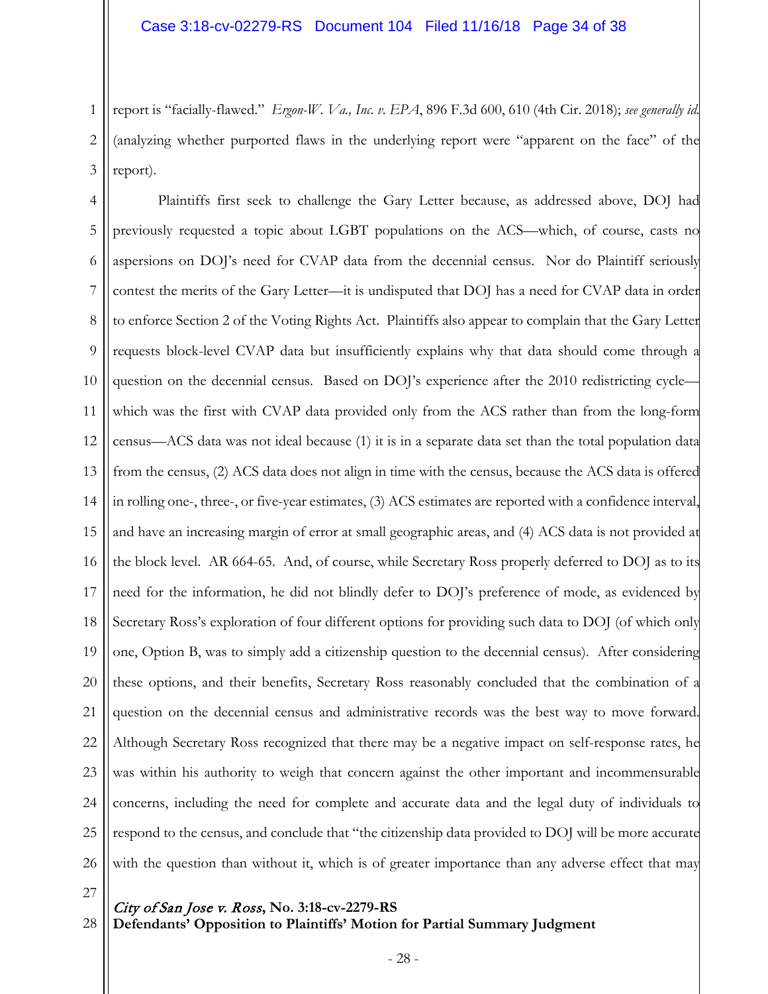1 2 3 report is "facially-flawed." *Ergon-W. Va., Inc. v. EPA*, 896 F.3d 600, 610 (4th Cir. 2018); *see generally id.*  (analyzing whether purported flaws in the underlying report were "apparent on the face" of the report).

4 5 6 7 8 9 10 11 12 13 14 15 16 17 18 19 20 21 22 23 24 25 26 Plaintiffs first seek to challenge the Gary Letter because, as addressed above, DOJ had previously requested a topic about LGBT populations on the ACS—which, of course, casts no aspersions on DOJ's need for CVAP data from the decennial census. Nor do Plaintiff seriously contest the merits of the Gary Letter—it is undisputed that DOJ has a need for CVAP data in order to enforce Section 2 of the Voting Rights Act. Plaintiffs also appear to complain that the Gary Letter requests block-level CVAP data but insufficiently explains why that data should come through a question on the decennial census. Based on DOJ's experience after the 2010 redistricting cyclewhich was the first with CVAP data provided only from the ACS rather than from the long-form census—ACS data was not ideal because (1) it is in a separate data set than the total population data from the census, (2) ACS data does not align in time with the census, because the ACS data is offered in rolling one-, three-, or five-year estimates, (3) ACS estimates are reported with a confidence interval, and have an increasing margin of error at small geographic areas, and (4) ACS data is not provided at the block level. AR 664-65. And, of course, while Secretary Ross properly deferred to DOJ as to its need for the information, he did not blindly defer to DOJ's preference of mode, as evidenced by Secretary Ross's exploration of four different options for providing such data to DOJ (of which only one, Option B, was to simply add a citizenship question to the decennial census). After considering these options, and their benefits, Secretary Ross reasonably concluded that the combination of a question on the decennial census and administrative records was the best way to move forward. Although Secretary Ross recognized that there may be a negative impact on self-response rates, he was within his authority to weigh that concern against the other important and incommensurable concerns, including the need for complete and accurate data and the legal duty of individuals to respond to the census, and conclude that "the citizenship data provided to DOJ will be more accurate with the question than without it, which is of greater importance than any adverse effect that may

27

28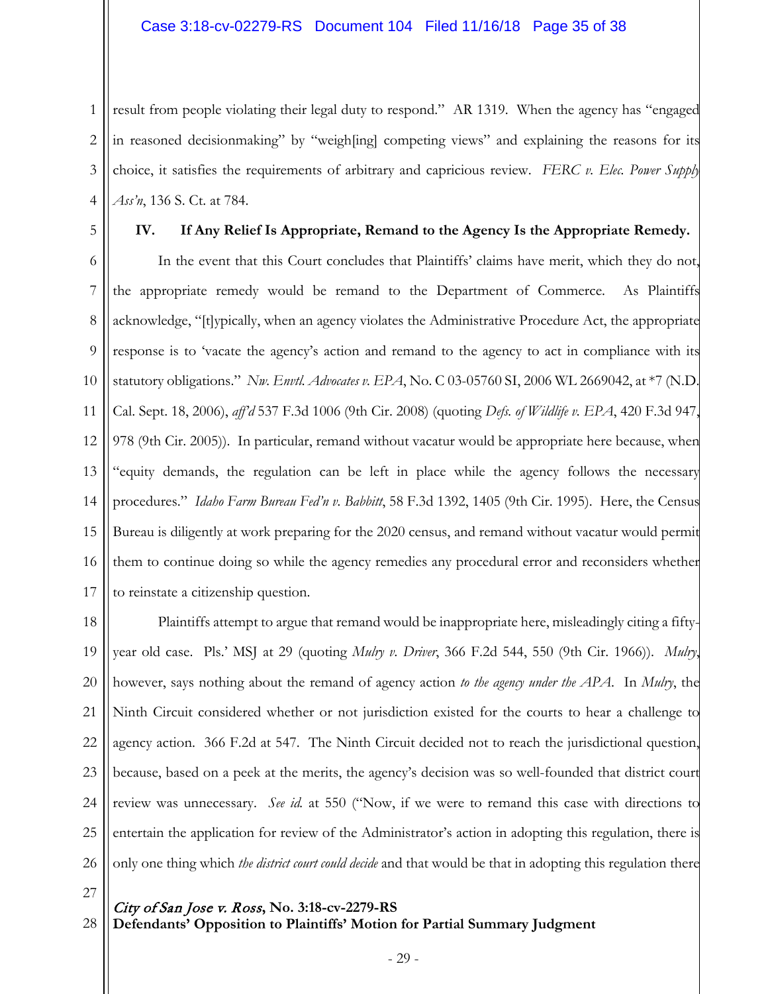1 2 3 4 result from people violating their legal duty to respond." AR 1319. When the agency has "engaged in reasoned decisionmaking" by "weigh[ing] competing views" and explaining the reasons for its choice, it satisfies the requirements of arbitrary and capricious review. *FERC v. Elec. Power Supply Ass'n*, 136 S. Ct. at 784.

5

# **IV. If Any Relief Is Appropriate, Remand to the Agency Is the Appropriate Remedy.**

6 7 8 9 10 11 12 13 14 15 16 17 In the event that this Court concludes that Plaintiffs' claims have merit, which they do not, the appropriate remedy would be remand to the Department of Commerce. As Plaintiffs acknowledge, "[t]ypically, when an agency violates the Administrative Procedure Act, the appropriate response is to 'vacate the agency's action and remand to the agency to act in compliance with its statutory obligations." *Nw. Envtl. Advocates v. EPA*, No. C 03-05760 SI, 2006 WL 2669042, at \*7 (N.D. Cal. Sept. 18, 2006), *aff'd* 537 F.3d 1006 (9th Cir. 2008) (quoting *Defs. of Wildlife v. EPA*, 420 F.3d 947, 978 (9th Cir. 2005)). In particular, remand without vacatur would be appropriate here because, when "equity demands, the regulation can be left in place while the agency follows the necessary procedures." *Idaho Farm Bureau Fed'n v. Babbitt*, 58 F.3d 1392, 1405 (9th Cir. 1995). Here, the Census Bureau is diligently at work preparing for the 2020 census, and remand without vacatur would permit them to continue doing so while the agency remedies any procedural error and reconsiders whether to reinstate a citizenship question.

18 19 20 21 22 23 24 25 26 Plaintiffs attempt to argue that remand would be inappropriate here, misleadingly citing a fiftyyear old case. Pls.' MSJ at 29 (quoting *Mulry v. Driver*, 366 F.2d 544, 550 (9th Cir. 1966)). *Mulry*, however, says nothing about the remand of agency action *to the agency under the APA*. In *Mulry*, the Ninth Circuit considered whether or not jurisdiction existed for the courts to hear a challenge to agency action. 366 F.2d at 547. The Ninth Circuit decided not to reach the jurisdictional question, because, based on a peek at the merits, the agency's decision was so well-founded that district court review was unnecessary. *See id.* at 550 ("Now, if we were to remand this case with directions to entertain the application for review of the Administrator's action in adopting this regulation, there is only one thing which *the district court could decide* and that would be that in adopting this regulation there

27

28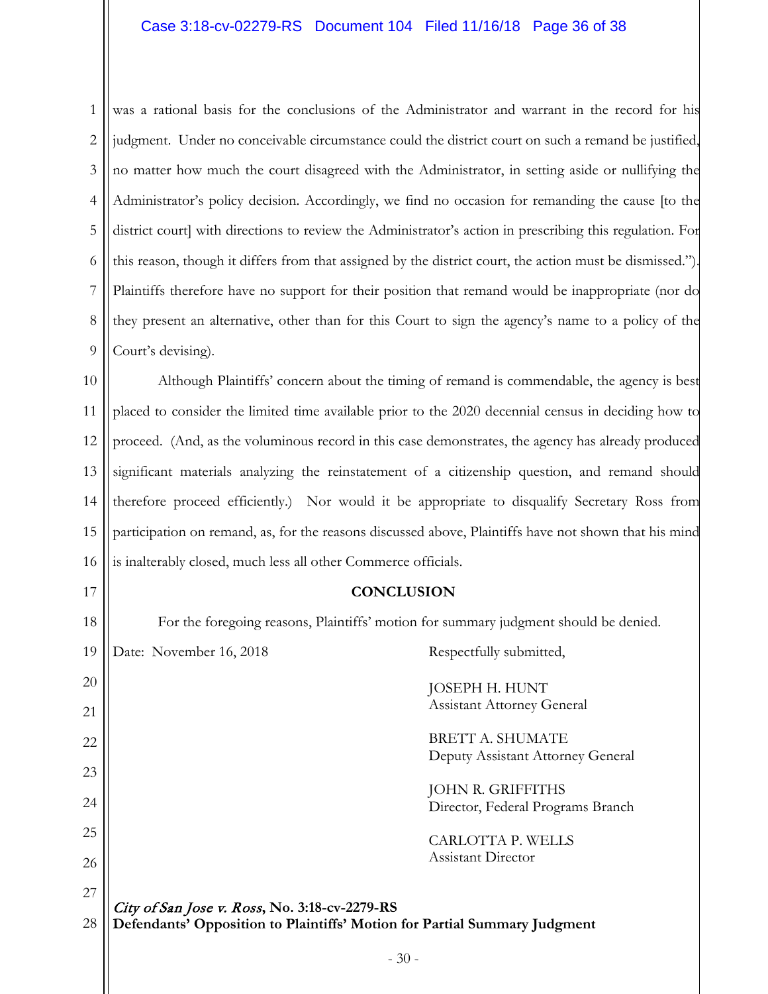1 2 3 4 5 6 7 8 9 was a rational basis for the conclusions of the Administrator and warrant in the record for his judgment. Under no conceivable circumstance could the district court on such a remand be justified, no matter how much the court disagreed with the Administrator, in setting aside or nullifying the Administrator's policy decision. Accordingly, we find no occasion for remanding the cause [to the district court] with directions to review the Administrator's action in prescribing this regulation. For this reason, though it differs from that assigned by the district court, the action must be dismissed."). Plaintiffs therefore have no support for their position that remand would be inappropriate (nor do they present an alternative, other than for this Court to sign the agency's name to a policy of the Court's devising).

10 11 12 13 14 15 16 Although Plaintiffs' concern about the timing of remand is commendable, the agency is best placed to consider the limited time available prior to the 2020 decennial census in deciding how to proceed. (And, as the voluminous record in this case demonstrates, the agency has already produced significant materials analyzing the reinstatement of a citizenship question, and remand should therefore proceed efficiently.) Nor would it be appropriate to disqualify Secretary Ross from participation on remand, as, for the reasons discussed above, Plaintiffs have not shown that his mind is inalterably closed, much less all other Commerce officials.

# **CONCLUSION**

For the foregoing reasons, Plaintiffs' motion for summary judgment should be denied.

City of San Jose v. Ross**, No. 3:18-cv-2279-RS Defendants' Opposition to Plaintiffs' Motion for Partial Summary Judgment** 19 20 21 22 23 24 25 26 27 28 Date: November 16, 2018 Respectfully submitted, JOSEPH H. HUNT Assistant Attorney General BRETT A. SHUMATE Deputy Assistant Attorney General JOHN R. GRIFFITHS Director, Federal Programs Branch CARLOTTA P. WELLS Assistant Director

17

18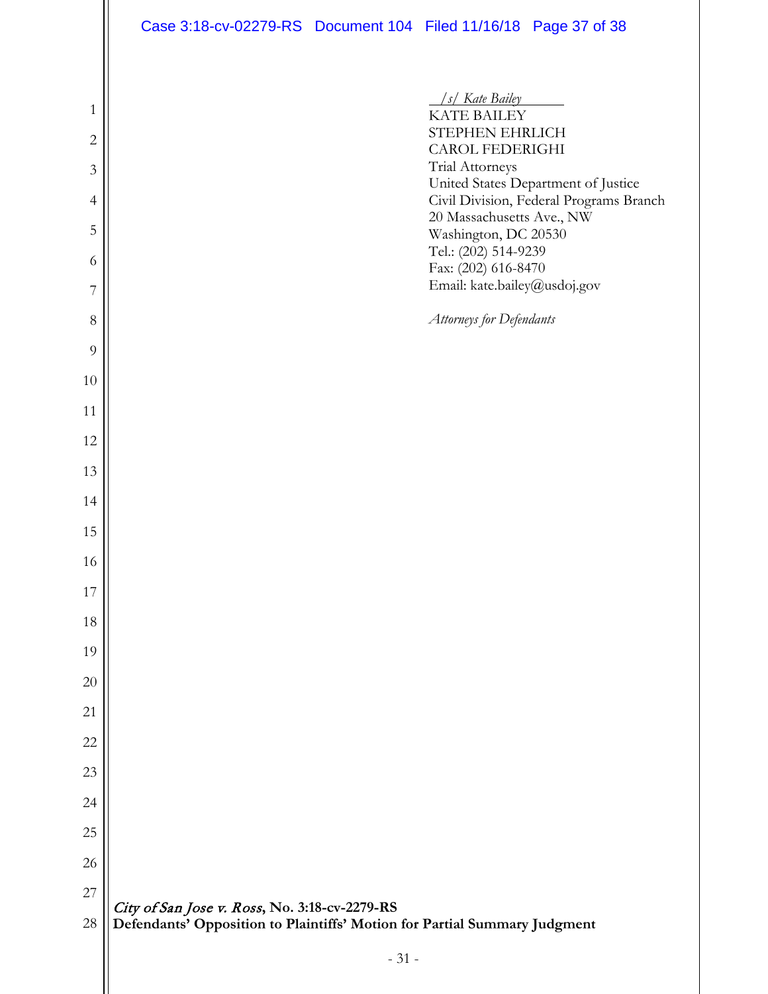City of San Jose v. Ross**, No. 3:18-cv-2279-RS Defendants' Opposition to Plaintiffs' Motion for Partial Summary Judgment** - 31 -  */s/ Kate Bailey* KATE BAILEY STEPHEN EHRLICH CAROL FEDERIGHI Trial Attorneys United States Department of Justice Civil Division, Federal Programs Branch 20 Massachusetts Ave., NW Washington, DC 20530 Tel.: (202) 514-9239 Fax: (202) 616-8470 Email: kate.bailey@usdoj.gov *Attorneys for Defendants*